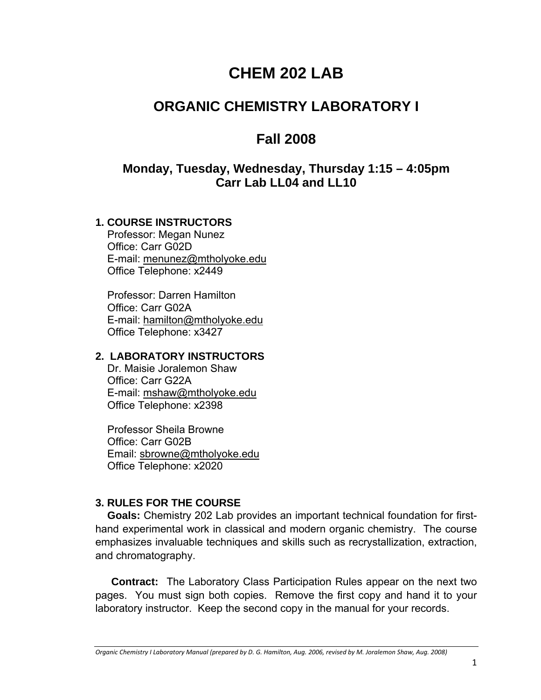# **CHEM 202 LAB**

# **ORGANIC CHEMISTRY LABORATORY I**

# **Fall 2008**

## **Monday, Tuesday, Wednesday, Thursday 1:15 – 4:05pm Carr Lab LL04 and LL10**

#### **1. COURSE INSTRUCTORS**

Professor: Megan Nunez Office: Carr G02D E-mail: menunez@mtholyoke.edu Office Telephone: x2449

Professor: Darren Hamilton Office: Carr G02A E-mail: hamilton@mtholyoke.edu Office Telephone: x3427

#### **2. LABORATORY INSTRUCTORS**

Dr. Maisie Joralemon Shaw Office: Carr G22A E-mail: mshaw@mtholyoke.edu Office Telephone: x2398

Professor Sheila Browne Office: Carr G02B Email: sbrowne@mtholyoke.edu Office Telephone: x2020

#### **3. RULES FOR THE COURSE**

**Goals:** Chemistry 202 Lab provides an important technical foundation for firsthand experimental work in classical and modern organic chemistry. The course emphasizes invaluable techniques and skills such as recrystallization, extraction, and chromatography.

**Contract:** The Laboratory Class Participation Rules appear on the next two pages. You must sign both copies. Remove the first copy and hand it to your laboratory instructor. Keep the second copy in the manual for your records.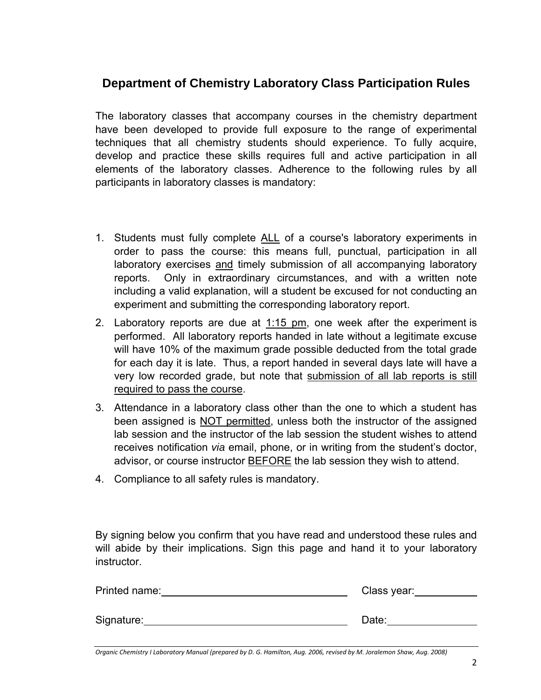# **Department of Chemistry Laboratory Class Participation Rules**

The laboratory classes that accompany courses in the chemistry department have been developed to provide full exposure to the range of experimental techniques that all chemistry students should experience. To fully acquire, develop and practice these skills requires full and active participation in all elements of the laboratory classes. Adherence to the following rules by all participants in laboratory classes is mandatory:

- 1. Students must fully complete ALL of a course's laboratory experiments in order to pass the course: this means full, punctual, participation in all laboratory exercises and timely submission of all accompanying laboratory reports. Only in extraordinary circumstances, and with a written note including a valid explanation, will a student be excused for not conducting an experiment and submitting the corresponding laboratory report.
- 2. Laboratory reports are due at 1:15 pm, one week after the experiment is performed. All laboratory reports handed in late without a legitimate excuse will have 10% of the maximum grade possible deducted from the total grade for each day it is late. Thus, a report handed in several days late will have a very low recorded grade, but note that submission of all lab reports is still required to pass the course.
- 3. Attendance in a laboratory class other than the one to which a student has been assigned is NOT permitted, unless both the instructor of the assigned lab session and the instructor of the lab session the student wishes to attend receives notification *via* email, phone, or in writing from the student's doctor, advisor, or course instructor **BEFORE** the lab session they wish to attend.
- 4. Compliance to all safety rules is mandatory.

By signing below you confirm that you have read and understood these rules and will abide by their implications. Sign this page and hand it to your laboratory instructor.

| Printed name: | Class year: |  |  |
|---------------|-------------|--|--|
|               |             |  |  |
| Signature:    | Date:       |  |  |
|               |             |  |  |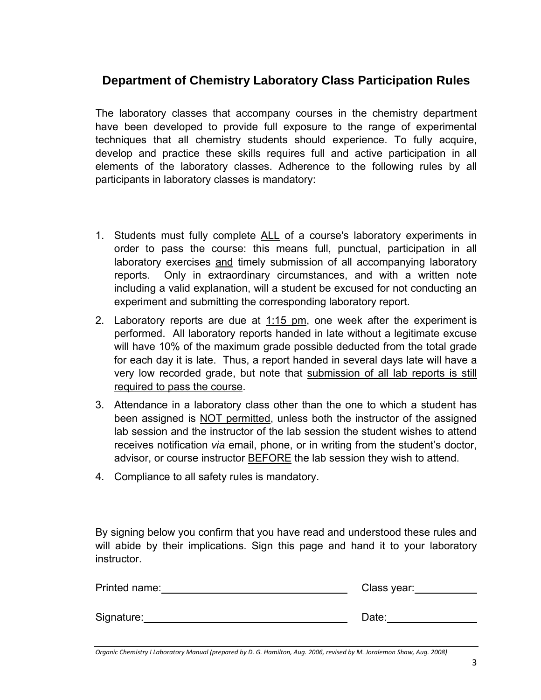## **Department of Chemistry Laboratory Class Participation Rules**

The laboratory classes that accompany courses in the chemistry department have been developed to provide full exposure to the range of experimental techniques that all chemistry students should experience. To fully acquire, develop and practice these skills requires full and active participation in all elements of the laboratory classes. Adherence to the following rules by all participants in laboratory classes is mandatory:

- 1. Students must fully complete ALL of a course's laboratory experiments in order to pass the course: this means full, punctual, participation in all laboratory exercises and timely submission of all accompanying laboratory reports. Only in extraordinary circumstances, and with a written note including a valid explanation, will a student be excused for not conducting an experiment and submitting the corresponding laboratory report.
- 2. Laboratory reports are due at  $1.15$  pm, one week after the experiment is performed. All laboratory reports handed in late without a legitimate excuse will have 10% of the maximum grade possible deducted from the total grade for each day it is late. Thus, a report handed in several days late will have a very low recorded grade, but note that submission of all lab reports is still required to pass the course.
- 3. Attendance in a laboratory class other than the one to which a student has been assigned is NOT permitted, unless both the instructor of the assigned lab session and the instructor of the lab session the student wishes to attend receives notification *via* email, phone, or in writing from the student's doctor, advisor, or course instructor BEFORE the lab session they wish to attend.
- 4. Compliance to all safety rules is mandatory.

By signing below you confirm that you have read and understood these rules and will abide by their implications. Sign this page and hand it to your laboratory instructor.

| Printed name: | Class year: |
|---------------|-------------|
|               |             |
| Signature:    | Date:       |
|               |             |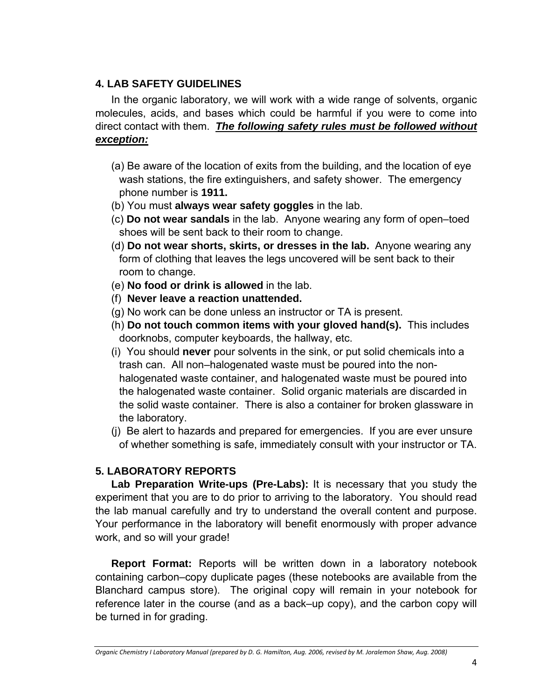#### **4. LAB SAFETY GUIDELINES**

In the organic laboratory, we will work with a wide range of solvents, organic molecules, acids, and bases which could be harmful if you were to come into direct contact with them. *The following safety rules must be followed without exception:*

- (a) Be aware of the location of exits from the building, and the location of eye wash stations, the fire extinguishers, and safety shower. The emergency phone number is **1911.**
- (b) You must **always wear safety goggles** in the lab.
- (c) **Do not wear sandals** in the lab. Anyone wearing any form of open–toed shoes will be sent back to their room to change.
- (d) **Do not wear shorts, skirts, or dresses in the lab.** Anyone wearing any form of clothing that leaves the legs uncovered will be sent back to their room to change.
- (e) **No food or drink is allowed** in the lab.
- (f) **Never leave a reaction unattended.**
- (g) No work can be done unless an instructor or TA is present.
- (h) **Do not touch common items with your gloved hand(s).** This includes doorknobs, computer keyboards, the hallway, etc.
- (i) You should **never** pour solvents in the sink, or put solid chemicals into a trash can. All non–halogenated waste must be poured into the nonhalogenated waste container, and halogenated waste must be poured into the halogenated waste container. Solid organic materials are discarded in the solid waste container. There is also a container for broken glassware in the laboratory.
- (j) Be alert to hazards and prepared for emergencies. If you are ever unsure of whether something is safe, immediately consult with your instructor or TA.

### **5. LABORATORY REPORTS**

**Lab Preparation Write-ups (Pre-Labs):** It is necessary that you study the experiment that you are to do prior to arriving to the laboratory. You should read the lab manual carefully and try to understand the overall content and purpose. Your performance in the laboratory will benefit enormously with proper advance work, and so will your grade!

**Report Format:** Reports will be written down in a laboratory notebook containing carbon–copy duplicate pages (these notebooks are available from the Blanchard campus store). The original copy will remain in your notebook for reference later in the course (and as a back–up copy), and the carbon copy will be turned in for grading.

Organic Chemistry I Laboratory Manual (prepared by D. G. Hamilton, Aug. 2006, revised by M. Joralemon Shaw, Aug. 2008)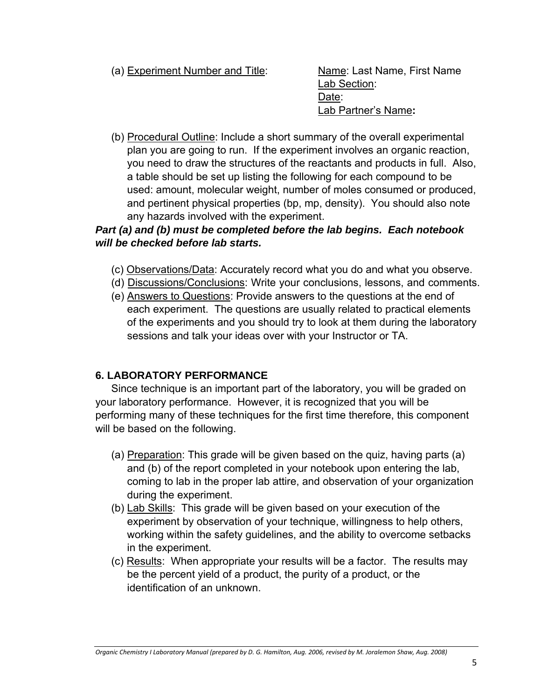(a) Experiment Number and Title: Name: Last Name, First Name

 Lab Section: Date: Lab Partner's Name**:** 

(b) Procedural Outline: Include a short summary of the overall experimental plan you are going to run. If the experiment involves an organic reaction, you need to draw the structures of the reactants and products in full. Also, a table should be set up listing the following for each compound to be used: amount, molecular weight, number of moles consumed or produced, and pertinent physical properties (bp, mp, density). You should also note any hazards involved with the experiment.

### *Part (a) and (b) must be completed before the lab begins. Each notebook will be checked before lab starts.*

- (c) Observations/Data: Accurately record what you do and what you observe.
- (d) Discussions/Conclusions: Write your conclusions, lessons, and comments.
- (e) Answers to Questions: Provide answers to the questions at the end of each experiment. The questions are usually related to practical elements of the experiments and you should try to look at them during the laboratory sessions and talk your ideas over with your Instructor or TA.

#### **6. LABORATORY PERFORMANCE**

Since technique is an important part of the laboratory, you will be graded on your laboratory performance. However, it is recognized that you will be performing many of these techniques for the first time therefore, this component will be based on the following.

- (a) Preparation: This grade will be given based on the quiz, having parts (a) and (b) of the report completed in your notebook upon entering the lab, coming to lab in the proper lab attire, and observation of your organization during the experiment.
- (b) Lab Skills: This grade will be given based on your execution of the experiment by observation of your technique, willingness to help others, working within the safety guidelines, and the ability to overcome setbacks in the experiment.
- (c) Results: When appropriate your results will be a factor. The results may be the percent yield of a product, the purity of a product, or the identification of an unknown.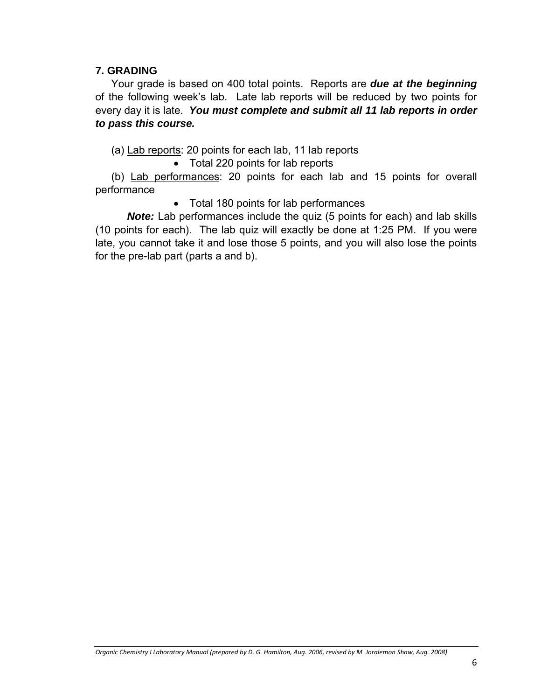#### **7. GRADING**

Your grade is based on 400 total points. Reports are *due at the beginning* of the following week's lab. Late lab reports will be reduced by two points for every day it is late. *You must complete and submit all 11 lab reports in order to pass this course.*

(a) Lab reports: 20 points for each lab, 11 lab reports

• Total 220 points for lab reports

(b) Lab performances: 20 points for each lab and 15 points for overall performance

• Total 180 points for lab performances

*Note:* Lab performances include the quiz (5 points for each) and lab skills (10 points for each). The lab quiz will exactly be done at 1:25 PM. If you were late, you cannot take it and lose those 5 points, and you will also lose the points for the pre-lab part (parts a and b).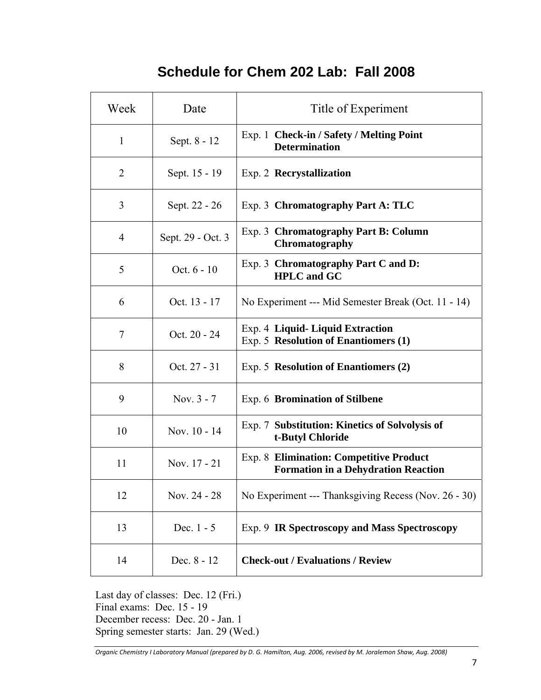# **Schedule for Chem 202 Lab: Fall 2008**

| Week           | Date              | Title of Experiment                                                                          |  |
|----------------|-------------------|----------------------------------------------------------------------------------------------|--|
| $\mathbf{1}$   | Sept. 8 - 12      | Exp. 1 Check-in / Safety / Melting Point<br><b>Determination</b>                             |  |
| $\overline{2}$ | Sept. 15 - 19     | Exp. 2 Recrystallization                                                                     |  |
| 3              | Sept. 22 - 26     | Exp. 3 Chromatography Part A: TLC                                                            |  |
| $\overline{4}$ | Sept. 29 - Oct. 3 | Exp. 3 Chromatography Part B: Column<br>Chromatography                                       |  |
| 5              | Oct. $6 - 10$     | Exp. 3 Chromatography Part C and D:<br><b>HPLC</b> and GC                                    |  |
| 6              | Oct. 13 - 17      | No Experiment --- Mid Semester Break (Oct. 11 - 14)                                          |  |
| 7              | Oct. 20 - 24      | Exp. 4 Liquid-Liquid Extraction<br>Exp. 5 Resolution of Enantiomers (1)                      |  |
| 8              | Oct. 27 - 31      | Exp. 5 Resolution of Enantiomers (2)                                                         |  |
| 9              | Nov. 3 - 7        | Exp. 6 Bromination of Stilbene                                                               |  |
| 10             | Nov. 10 - 14      | Exp. 7 Substitution: Kinetics of Solvolysis of<br>t-Butyl Chloride                           |  |
| 11             | Nov. 17 - 21      | <b>Exp. 8 Elimination: Competitive Product</b><br><b>Formation in a Dehydration Reaction</b> |  |
| 12             | Nov. 24 - 28      | No Experiment --- Thanksgiving Recess (Nov. 26 - 30)                                         |  |
| 13             | Dec. $1 - 5$      | Exp. 9 IR Spectroscopy and Mass Spectroscopy                                                 |  |
| 14             | Dec. 8 - 12       | <b>Check-out / Evaluations / Review</b>                                                      |  |

Last day of classes: Dec. 12 (Fri.) Final exams: Dec. 15 - 19 December recess: Dec. 20 - Jan. 1 Spring semester starts: Jan. 29 (Wed.)

Organic Chemistry I Laboratory Manual (prepared by D. G. Hamilton, Aug. 2006, revised by M. Joralemon Shaw, Aug. 2008)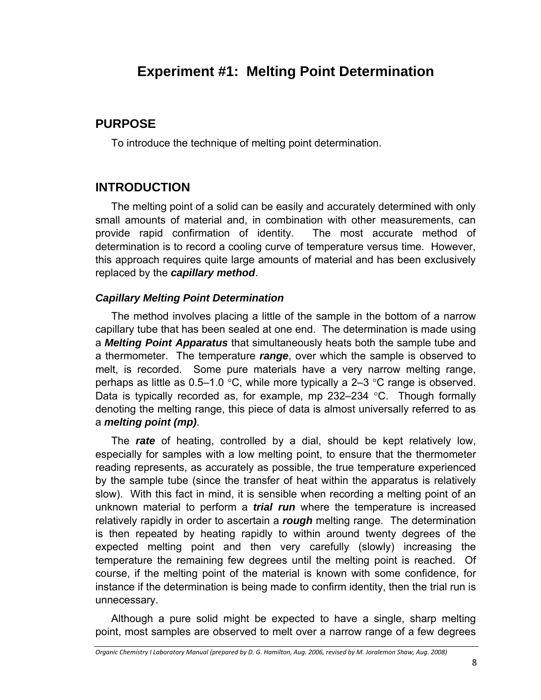# **Experiment #1: Melting Point Determination**

### **PURPOSE**

To introduce the technique of melting point determination.

## **INTRODUCTION**

The melting point of a solid can be easily and accurately determined with only small amounts of material and, in combination with other measurements, can provide rapid confirmation of identity. The most accurate method of determination is to record a cooling curve of temperature versus time. However, this approach requires quite large amounts of material and has been exclusively replaced by the *capillary method*.

#### *Capillary Melting Point Determination*

The method involves placing a little of the sample in the bottom of a narrow capillary tube that has been sealed at one end. The determination is made using a *Melting Point Apparatus* that simultaneously heats both the sample tube and a thermometer. The temperature *range*, over which the sample is observed to melt, is recorded. Some pure materials have a very narrow melting range, perhaps as little as  $0.5-1.0$  °C, while more typically a 2-3 °C range is observed. Data is typically recorded as, for example, mp 232–234 °C. Though formally denoting the melting range, this piece of data is almost universally referred to as a *melting point (mp)*.

The *rate* of heating, controlled by a dial, should be kept relatively low, especially for samples with a low melting point, to ensure that the thermometer reading represents, as accurately as possible, the true temperature experienced by the sample tube (since the transfer of heat within the apparatus is relatively slow). With this fact in mind, it is sensible when recording a melting point of an unknown material to perform a *trial run* where the temperature is increased relatively rapidly in order to ascertain a *rough* melting range. The determination is then repeated by heating rapidly to within around twenty degrees of the expected melting point and then very carefully (slowly) increasing the temperature the remaining few degrees until the melting point is reached. Of course, if the melting point of the material is known with some confidence, for instance if the determination is being made to confirm identity, then the trial run is unnecessary.

Although a pure solid might be expected to have a single, sharp melting point, most samples are observed to melt over a narrow range of a few degrees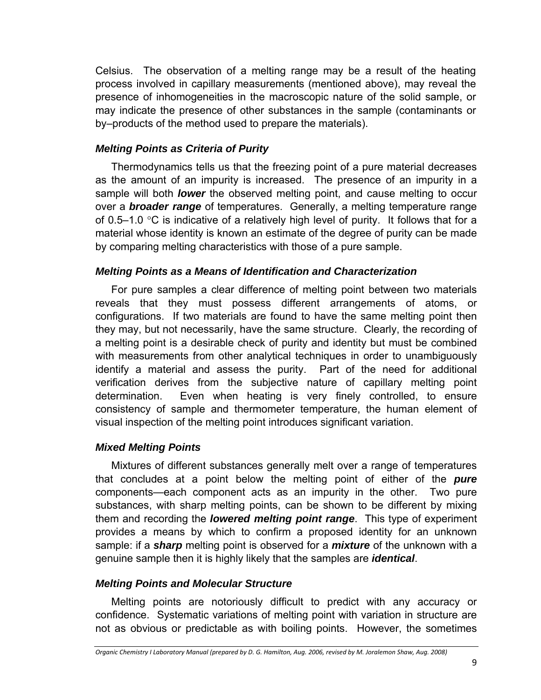Celsius. The observation of a melting range may be a result of the heating process involved in capillary measurements (mentioned above), may reveal the presence of inhomogeneities in the macroscopic nature of the solid sample, or may indicate the presence of other substances in the sample (contaminants or by–products of the method used to prepare the materials).

#### *Melting Points as Criteria of Purity*

Thermodynamics tells us that the freezing point of a pure material decreases as the amount of an impurity is increased. The presence of an impurity in a sample will both *lower* the observed melting point, and cause melting to occur over a *broader range* of temperatures. Generally, a melting temperature range of 0.5–1.0  $\degree$ C is indicative of a relatively high level of purity. It follows that for a material whose identity is known an estimate of the degree of purity can be made by comparing melting characteristics with those of a pure sample.

#### *Melting Points as a Means of Identification and Characterization*

For pure samples a clear difference of melting point between two materials reveals that they must possess different arrangements of atoms, or configurations. If two materials are found to have the same melting point then they may, but not necessarily, have the same structure. Clearly, the recording of a melting point is a desirable check of purity and identity but must be combined with measurements from other analytical techniques in order to unambiguously identify a material and assess the purity. Part of the need for additional verification derives from the subjective nature of capillary melting point determination. Even when heating is very finely controlled, to ensure consistency of sample and thermometer temperature, the human element of visual inspection of the melting point introduces significant variation.

#### *Mixed Melting Points*

Mixtures of different substances generally melt over a range of temperatures that concludes at a point below the melting point of either of the *pure* components—each component acts as an impurity in the other. Two pure substances, with sharp melting points, can be shown to be different by mixing them and recording the *lowered melting point range*. This type of experiment provides a means by which to confirm a proposed identity for an unknown sample: if a *sharp* melting point is observed for a *mixture* of the unknown with a genuine sample then it is highly likely that the samples are *identical*.

#### *Melting Points and Molecular Structure*

Melting points are notoriously difficult to predict with any accuracy or confidence. Systematic variations of melting point with variation in structure are not as obvious or predictable as with boiling points. However, the sometimes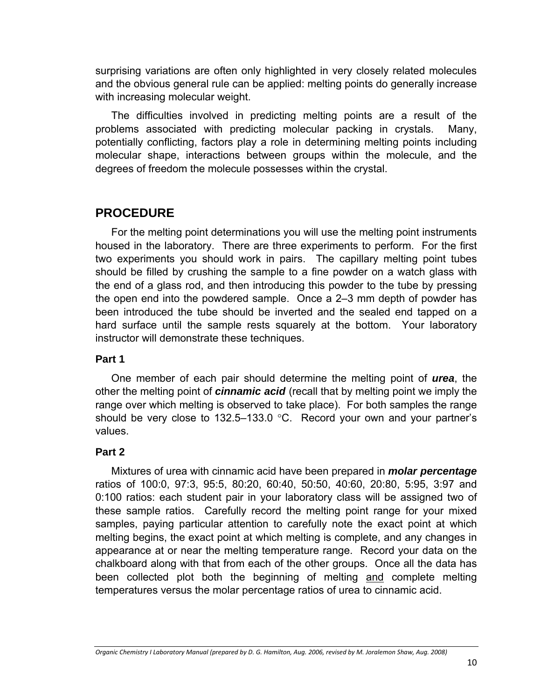surprising variations are often only highlighted in very closely related molecules and the obvious general rule can be applied: melting points do generally increase with increasing molecular weight.

The difficulties involved in predicting melting points are a result of the problems associated with predicting molecular packing in crystals. Many, potentially conflicting, factors play a role in determining melting points including molecular shape, interactions between groups within the molecule, and the degrees of freedom the molecule possesses within the crystal.

## **PROCEDURE**

For the melting point determinations you will use the melting point instruments housed in the laboratory. There are three experiments to perform. For the first two experiments you should work in pairs. The capillary melting point tubes should be filled by crushing the sample to a fine powder on a watch glass with the end of a glass rod, and then introducing this powder to the tube by pressing the open end into the powdered sample. Once a 2–3 mm depth of powder has been introduced the tube should be inverted and the sealed end tapped on a hard surface until the sample rests squarely at the bottom. Your laboratory instructor will demonstrate these techniques.

#### **Part 1**

One member of each pair should determine the melting point of *urea*, the other the melting point of *cinnamic acid* (recall that by melting point we imply the range over which melting is observed to take place). For both samples the range should be very close to 132.5–133.0 °C. Record your own and your partner's values.

#### **Part 2**

Mixtures of urea with cinnamic acid have been prepared in *molar percentage* ratios of 100:0, 97:3, 95:5, 80:20, 60:40, 50:50, 40:60, 20:80, 5:95, 3:97 and 0:100 ratios: each student pair in your laboratory class will be assigned two of these sample ratios. Carefully record the melting point range for your mixed samples, paying particular attention to carefully note the exact point at which melting begins, the exact point at which melting is complete, and any changes in appearance at or near the melting temperature range. Record your data on the chalkboard along with that from each of the other groups. Once all the data has been collected plot both the beginning of melting and complete melting temperatures versus the molar percentage ratios of urea to cinnamic acid.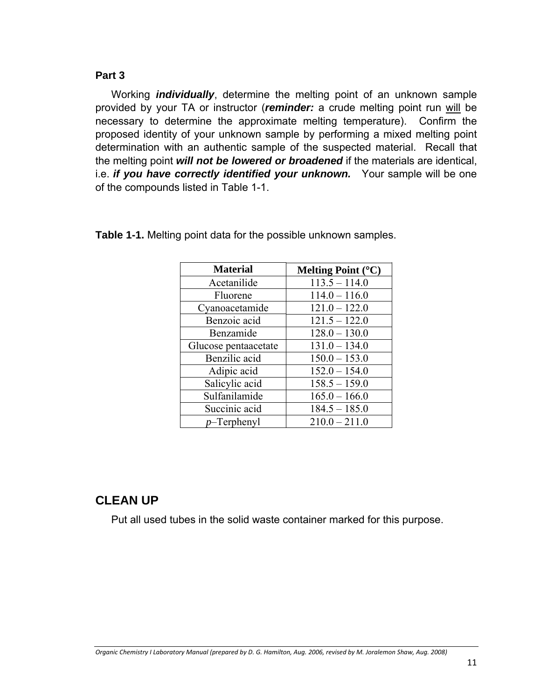#### **Part 3**

Working *individually*, determine the melting point of an unknown sample provided by your TA or instructor (*reminder:* a crude melting point run will be necessary to determine the approximate melting temperature). Confirm the proposed identity of your unknown sample by performing a mixed melting point determination with an authentic sample of the suspected material. Recall that the melting point *will not be lowered or broadened* if the materials are identical, i.e. *if you have correctly identified your unknown.* Your sample will be one of the compounds listed in Table 1-1.

| <b>Material</b>      | Melting Point (°C) |
|----------------------|--------------------|
| Acetanilide          | $113.5 - 114.0$    |
| Fluorene             | $114.0 - 116.0$    |
| Cyanoacetamide       | $121.0 - 122.0$    |
| Benzoic acid         | $121.5 - 122.0$    |
| Benzamide            | $128.0 - 130.0$    |
| Glucose pentaacetate | $131.0 - 134.0$    |
| Benzilic acid        | $150.0 - 153.0$    |
| Adipic acid          | $152.0 - 154.0$    |
| Salicylic acid       | $158.5 - 159.0$    |
| Sulfanilamide        | $165.0 - 166.0$    |
| Succinic acid        | $184.5 - 185.0$    |
| $p$ –Terphenyl       | $210.0 - 211.0$    |

**Table 1-1.** Melting point data for the possible unknown samples.

## **CLEAN UP**

Put all used tubes in the solid waste container marked for this purpose.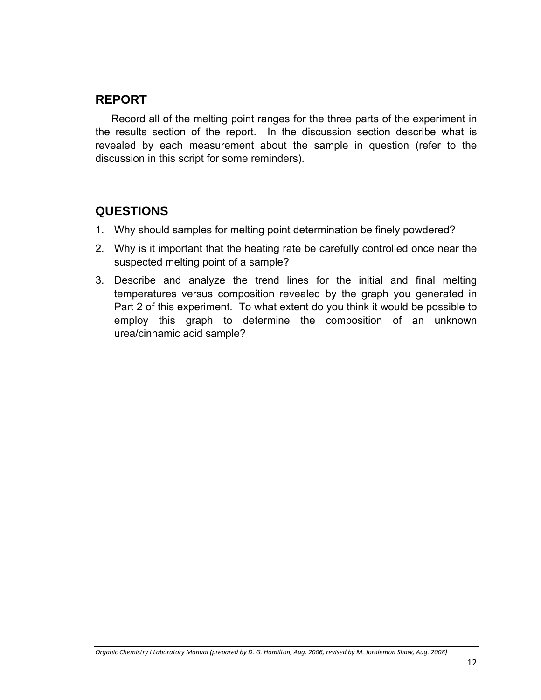## **REPORT**

Record all of the melting point ranges for the three parts of the experiment in the results section of the report. In the discussion section describe what is revealed by each measurement about the sample in question (refer to the discussion in this script for some reminders).

## **QUESTIONS**

- 1. Why should samples for melting point determination be finely powdered?
- 2. Why is it important that the heating rate be carefully controlled once near the suspected melting point of a sample?
- 3. Describe and analyze the trend lines for the initial and final melting temperatures versus composition revealed by the graph you generated in Part 2 of this experiment. To what extent do you think it would be possible to employ this graph to determine the composition of an unknown urea/cinnamic acid sample?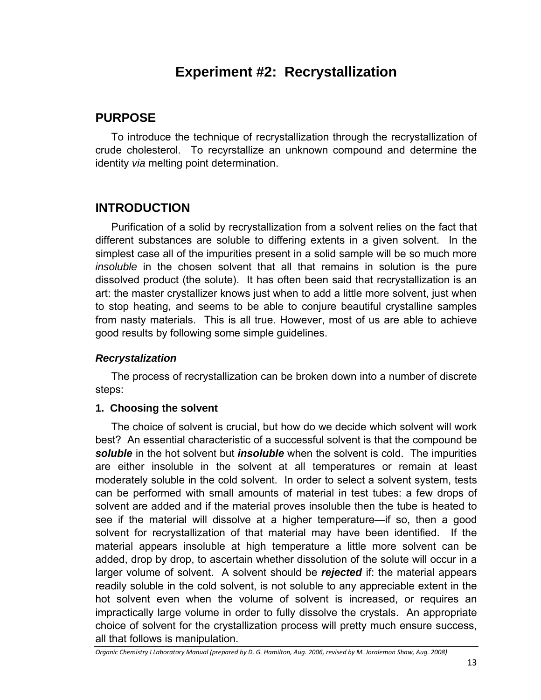# **Experiment #2: Recrystallization**

## **PURPOSE**

To introduce the technique of recrystallization through the recrystallization of crude cholesterol. To recyrstallize an unknown compound and determine the identity *via* melting point determination.

## **INTRODUCTION**

Purification of a solid by recrystallization from a solvent relies on the fact that different substances are soluble to differing extents in a given solvent. In the simplest case all of the impurities present in a solid sample will be so much more *insoluble* in the chosen solvent that all that remains in solution is the pure dissolved product (the solute). It has often been said that recrystallization is an art: the master crystallizer knows just when to add a little more solvent, just when to stop heating, and seems to be able to conjure beautiful crystalline samples from nasty materials. This is all true. However, most of us are able to achieve good results by following some simple guidelines.

#### *Recrystalization*

The process of recrystallization can be broken down into a number of discrete steps:

#### **1. Choosing the solvent**

The choice of solvent is crucial, but how do we decide which solvent will work best? An essential characteristic of a successful solvent is that the compound be *soluble* in the hot solvent but *insoluble* when the solvent is cold. The impurities are either insoluble in the solvent at all temperatures or remain at least moderately soluble in the cold solvent. In order to select a solvent system, tests can be performed with small amounts of material in test tubes: a few drops of solvent are added and if the material proves insoluble then the tube is heated to see if the material will dissolve at a higher temperature—if so, then a good solvent for recrystallization of that material may have been identified. If the material appears insoluble at high temperature a little more solvent can be added, drop by drop, to ascertain whether dissolution of the solute will occur in a larger volume of solvent. A solvent should be *rejected* if: the material appears readily soluble in the cold solvent, is not soluble to any appreciable extent in the hot solvent even when the volume of solvent is increased, or requires an impractically large volume in order to fully dissolve the crystals. An appropriate choice of solvent for the crystallization process will pretty much ensure success, all that follows is manipulation.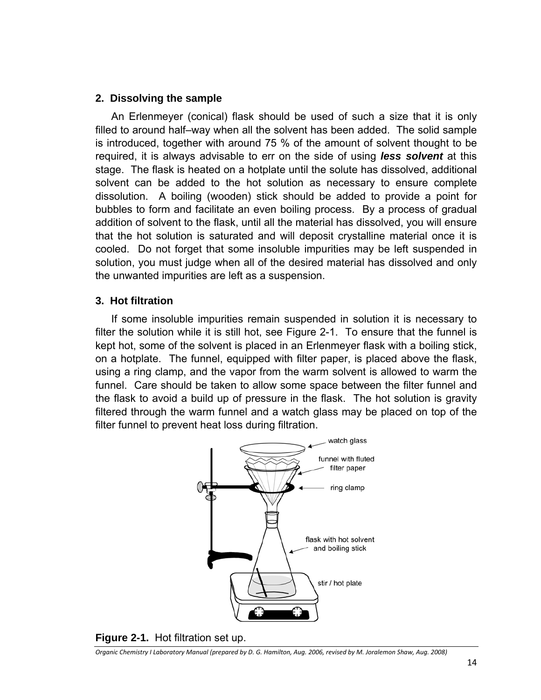#### **2. Dissolving the sample**

An Erlenmeyer (conical) flask should be used of such a size that it is only filled to around half–way when all the solvent has been added. The solid sample is introduced, together with around 75 % of the amount of solvent thought to be required, it is always advisable to err on the side of using *less solvent* at this stage. The flask is heated on a hotplate until the solute has dissolved, additional solvent can be added to the hot solution as necessary to ensure complete dissolution. A boiling (wooden) stick should be added to provide a point for bubbles to form and facilitate an even boiling process. By a process of gradual addition of solvent to the flask, until all the material has dissolved, you will ensure that the hot solution is saturated and will deposit crystalline material once it is cooled. Do not forget that some insoluble impurities may be left suspended in solution, you must judge when all of the desired material has dissolved and only the unwanted impurities are left as a suspension.

#### **3. Hot filtration**

If some insoluble impurities remain suspended in solution it is necessary to filter the solution while it is still hot, see Figure 2-1. To ensure that the funnel is kept hot, some of the solvent is placed in an Erlenmeyer flask with a boiling stick, on a hotplate. The funnel, equipped with filter paper, is placed above the flask, using a ring clamp, and the vapor from the warm solvent is allowed to warm the funnel. Care should be taken to allow some space between the filter funnel and the flask to avoid a build up of pressure in the flask. The hot solution is gravity filtered through the warm funnel and a watch glass may be placed on top of the filter funnel to prevent heat loss during filtration.



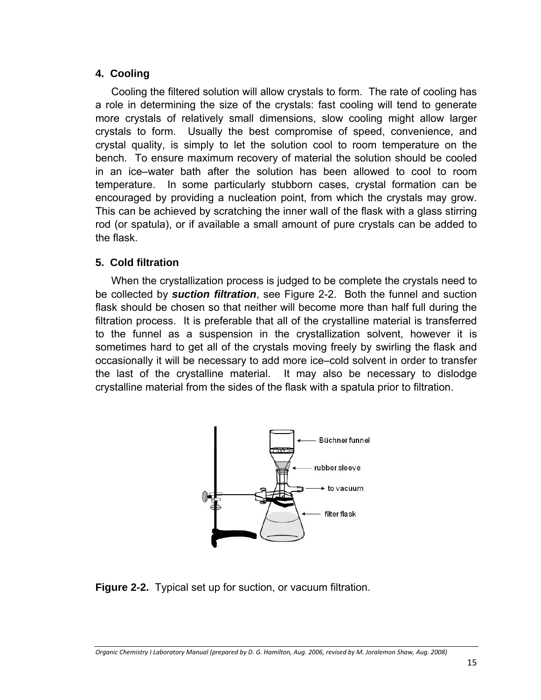#### **4. Cooling**

Cooling the filtered solution will allow crystals to form. The rate of cooling has a role in determining the size of the crystals: fast cooling will tend to generate more crystals of relatively small dimensions, slow cooling might allow larger crystals to form. Usually the best compromise of speed, convenience, and crystal quality, is simply to let the solution cool to room temperature on the bench. To ensure maximum recovery of material the solution should be cooled in an ice–water bath after the solution has been allowed to cool to room temperature. In some particularly stubborn cases, crystal formation can be encouraged by providing a nucleation point, from which the crystals may grow. This can be achieved by scratching the inner wall of the flask with a glass stirring rod (or spatula), or if available a small amount of pure crystals can be added to the flask.

#### **5. Cold filtration**

When the crystallization process is judged to be complete the crystals need to be collected by *suction filtration*, see Figure 2-2. Both the funnel and suction flask should be chosen so that neither will become more than half full during the filtration process. It is preferable that all of the crystalline material is transferred to the funnel as a suspension in the crystallization solvent, however it is sometimes hard to get all of the crystals moving freely by swirling the flask and occasionally it will be necessary to add more ice–cold solvent in order to transfer the last of the crystalline material. It may also be necessary to dislodge crystalline material from the sides of the flask with a spatula prior to filtration.



**Figure 2-2.** Typical set up for suction, or vacuum filtration.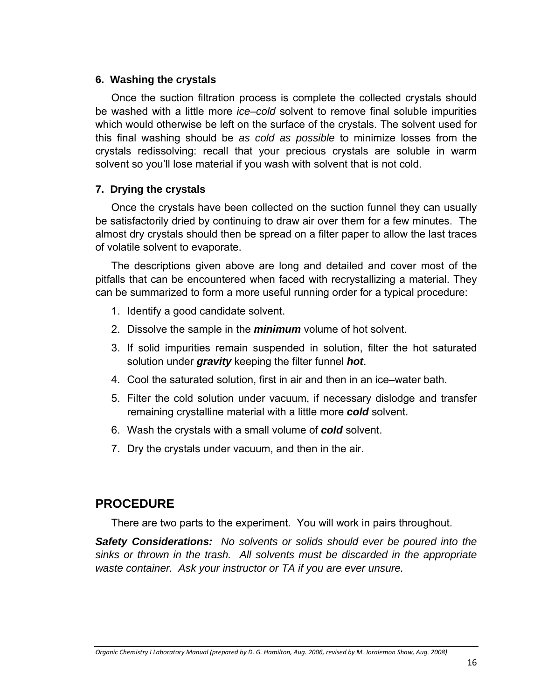#### **6. Washing the crystals**

Once the suction filtration process is complete the collected crystals should be washed with a little more *ice–cold* solvent to remove final soluble impurities which would otherwise be left on the surface of the crystals. The solvent used for this final washing should be *as cold as possible* to minimize losses from the crystals redissolving: recall that your precious crystals are soluble in warm solvent so you'll lose material if you wash with solvent that is not cold.

#### **7. Drying the crystals**

Once the crystals have been collected on the suction funnel they can usually be satisfactorily dried by continuing to draw air over them for a few minutes. The almost dry crystals should then be spread on a filter paper to allow the last traces of volatile solvent to evaporate.

The descriptions given above are long and detailed and cover most of the pitfalls that can be encountered when faced with recrystallizing a material. They can be summarized to form a more useful running order for a typical procedure:

- 1. Identify a good candidate solvent.
- 2. Dissolve the sample in the *minimum* volume of hot solvent.
- 3. If solid impurities remain suspended in solution, filter the hot saturated solution under *gravity* keeping the filter funnel *hot*.
- 4. Cool the saturated solution, first in air and then in an ice–water bath.
- 5. Filter the cold solution under vacuum, if necessary dislodge and transfer remaining crystalline material with a little more *cold* solvent.
- 6. Wash the crystals with a small volume of *cold* solvent.
- 7. Dry the crystals under vacuum, and then in the air.

## **PROCEDURE**

There are two parts to the experiment. You will work in pairs throughout.

*Safety Considerations: No solvents or solids should ever be poured into the sinks or thrown in the trash. All solvents must be discarded in the appropriate waste container. Ask your instructor or TA if you are ever unsure.*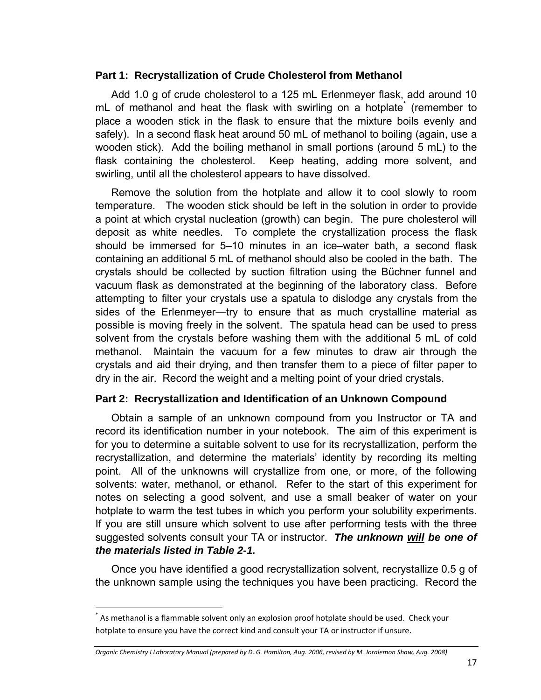#### **Part 1: Recrystallization of Crude Cholesterol from Methanol**

Add 1.0 g of crude cholesterol to a 125 mL Erlenmeyer flask, add around 10 mL of methanol and heat the flask with swirling on a hotplate<sup>\*</sup> (remember to place a wooden stick in the flask to ensure that the mixture boils evenly and safely). In a second flask heat around 50 mL of methanol to boiling (again, use a wooden stick). Add the boiling methanol in small portions (around 5 mL) to the flask containing the cholesterol. Keep heating, adding more solvent, and swirling, until all the cholesterol appears to have dissolved.

Remove the solution from the hotplate and allow it to cool slowly to room temperature. The wooden stick should be left in the solution in order to provide a point at which crystal nucleation (growth) can begin. The pure cholesterol will deposit as white needles. To complete the crystallization process the flask should be immersed for 5–10 minutes in an ice–water bath, a second flask containing an additional 5 mL of methanol should also be cooled in the bath. The crystals should be collected by suction filtration using the Büchner funnel and vacuum flask as demonstrated at the beginning of the laboratory class. Before attempting to filter your crystals use a spatula to dislodge any crystals from the sides of the Erlenmeyer—try to ensure that as much crystalline material as possible is moving freely in the solvent. The spatula head can be used to press solvent from the crystals before washing them with the additional 5 mL of cold methanol. Maintain the vacuum for a few minutes to draw air through the crystals and aid their drying, and then transfer them to a piece of filter paper to dry in the air. Record the weight and a melting point of your dried crystals.

#### **Part 2: Recrystallization and Identification of an Unknown Compound**

Obtain a sample of an unknown compound from you Instructor or TA and record its identification number in your notebook. The aim of this experiment is for you to determine a suitable solvent to use for its recrystallization, perform the recrystallization, and determine the materials' identity by recording its melting point. All of the unknowns will crystallize from one, or more, of the following solvents: water, methanol, or ethanol. Refer to the start of this experiment for notes on selecting a good solvent, and use a small beaker of water on your hotplate to warm the test tubes in which you perform your solubility experiments. If you are still unsure which solvent to use after performing tests with the three suggested solvents consult your TA or instructor. *The unknown will be one of the materials listed in Table 2-1.* 

Once you have identified a good recrystallization solvent, recrystallize 0.5 g of the unknown sample using the techniques you have been practicing. Record the

As methanol is a flammable solvent only an explosion proof hotplate should be used. Check your hotplate to ensure you have the correct kind and consult your TA or instructor if unsure.

Organic Chemistry I Laboratory Manual (prepared by D. G. Hamilton, Aug. 2006, revised by M. Joralemon Shaw, Aug. 2008)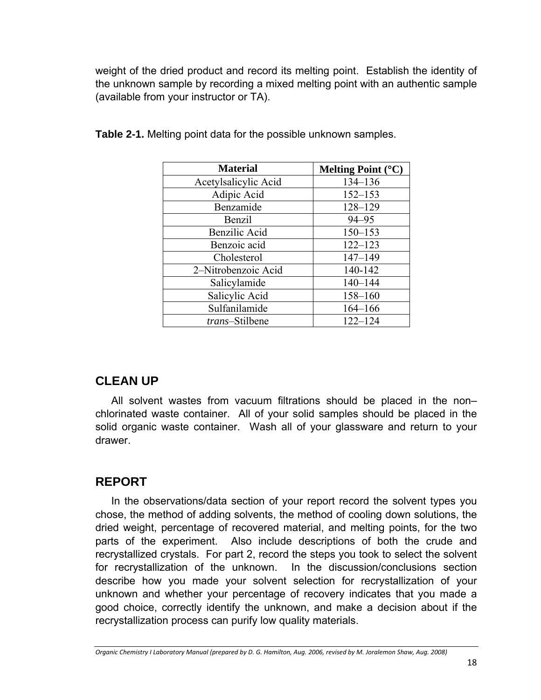weight of the dried product and record its melting point. Establish the identity of the unknown sample by recording a mixed melting point with an authentic sample (available from your instructor or TA).

| <b>Material</b>        | Melting Point $(C)$ |
|------------------------|---------------------|
| Acetylsalicylic Acid   | 134-136             |
| Adipic Acid            | $152 - 153$         |
| Benzamide              | $128 - 129$         |
| Benzil                 | $94 - 95$           |
| Benzilic Acid          | $150 - 153$         |
| Benzoic acid           | $122 - 123$         |
| Cholesterol            | $147 - 149$         |
| 2-Nitrobenzoic Acid    | 140-142             |
| Salicylamide           | $140 - 144$         |
| Salicylic Acid         | 158-160             |
| Sulfanilamide          | $164 - 166$         |
| <i>trans</i> -Stilbene | $122 - 124$         |

**Table 2-1.** Melting point data for the possible unknown samples.

## **CLEAN UP**

All solvent wastes from vacuum filtrations should be placed in the non– chlorinated waste container. All of your solid samples should be placed in the solid organic waste container. Wash all of your glassware and return to your drawer.

### **REPORT**

In the observations/data section of your report record the solvent types you chose, the method of adding solvents, the method of cooling down solutions, the dried weight, percentage of recovered material, and melting points, for the two parts of the experiment. Also include descriptions of both the crude and recrystallized crystals. For part 2, record the steps you took to select the solvent for recrystallization of the unknown. In the discussion/conclusions section describe how you made your solvent selection for recrystallization of your unknown and whether your percentage of recovery indicates that you made a good choice, correctly identify the unknown, and make a decision about if the recrystallization process can purify low quality materials.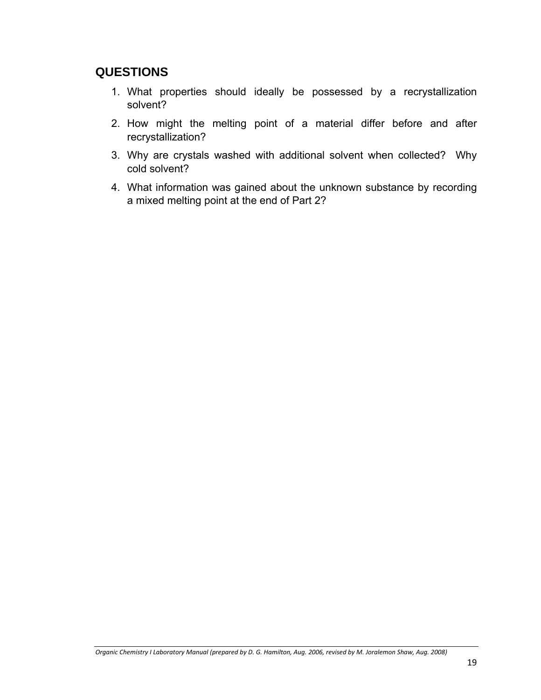## **QUESTIONS**

- 1. What properties should ideally be possessed by a recrystallization solvent?
- 2. How might the melting point of a material differ before and after recrystallization?
- 3. Why are crystals washed with additional solvent when collected? Why cold solvent?
- 4. What information was gained about the unknown substance by recording a mixed melting point at the end of Part 2?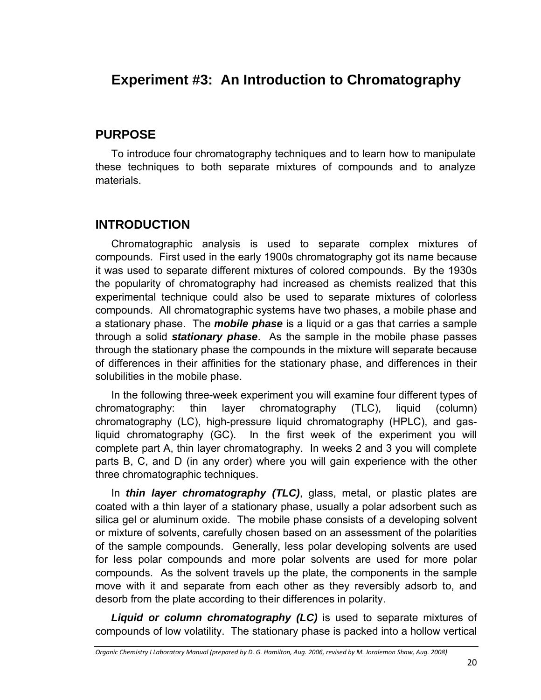# **Experiment #3: An Introduction to Chromatography**

## **PURPOSE**

To introduce four chromatography techniques and to learn how to manipulate these techniques to both separate mixtures of compounds and to analyze materials.

# **INTRODUCTION**

Chromatographic analysis is used to separate complex mixtures of compounds. First used in the early 1900s chromatography got its name because it was used to separate different mixtures of colored compounds. By the 1930s the popularity of chromatography had increased as chemists realized that this experimental technique could also be used to separate mixtures of colorless compounds. All chromatographic systems have two phases, a mobile phase and a stationary phase. The *mobile phase* is a liquid or a gas that carries a sample through a solid *stationary phase*. As the sample in the mobile phase passes through the stationary phase the compounds in the mixture will separate because of differences in their affinities for the stationary phase, and differences in their solubilities in the mobile phase.

In the following three-week experiment you will examine four different types of chromatography: thin layer chromatography (TLC), liquid (column) chromatography (LC), high-pressure liquid chromatography (HPLC), and gasliquid chromatography (GC). In the first week of the experiment you will complete part A, thin layer chromatography. In weeks 2 and 3 you will complete parts B, C, and D (in any order) where you will gain experience with the other three chromatographic techniques.

In *thin layer chromatography (TLC)*, glass, metal, or plastic plates are coated with a thin layer of a stationary phase, usually a polar adsorbent such as silica gel or aluminum oxide. The mobile phase consists of a developing solvent or mixture of solvents, carefully chosen based on an assessment of the polarities of the sample compounds. Generally, less polar developing solvents are used for less polar compounds and more polar solvents are used for more polar compounds. As the solvent travels up the plate, the components in the sample move with it and separate from each other as they reversibly adsorb to, and desorb from the plate according to their differences in polarity.

*Liquid or column chromatography (LC)* is used to separate mixtures of compounds of low volatility. The stationary phase is packed into a hollow vertical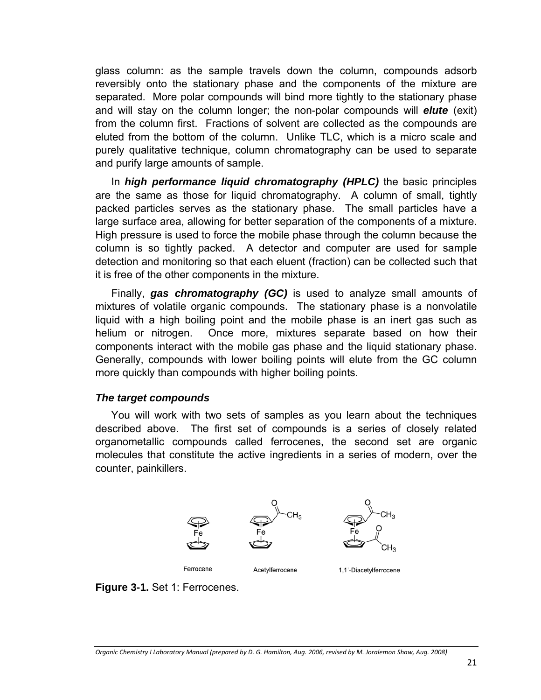glass column: as the sample travels down the column, compounds adsorb reversibly onto the stationary phase and the components of the mixture are separated. More polar compounds will bind more tightly to the stationary phase and will stay on the column longer; the non-polar compounds will *elute* (exit) from the column first. Fractions of solvent are collected as the compounds are eluted from the bottom of the column. Unlike TLC, which is a micro scale and purely qualitative technique, column chromatography can be used to separate and purify large amounts of sample.

In *high performance liquid chromatography (HPLC)* the basic principles are the same as those for liquid chromatography. A column of small, tightly packed particles serves as the stationary phase. The small particles have a large surface area, allowing for better separation of the components of a mixture. High pressure is used to force the mobile phase through the column because the column is so tightly packed. A detector and computer are used for sample detection and monitoring so that each eluent (fraction) can be collected such that it is free of the other components in the mixture.

Finally, *gas chromatography (GC)* is used to analyze small amounts of mixtures of volatile organic compounds. The stationary phase is a nonvolatile liquid with a high boiling point and the mobile phase is an inert gas such as helium or nitrogen. Once more, mixtures separate based on how their components interact with the mobile gas phase and the liquid stationary phase. Generally, compounds with lower boiling points will elute from the GC column more quickly than compounds with higher boiling points.

#### *The target compounds*

You will work with two sets of samples as you learn about the techniques described above. The first set of compounds is a series of closely related organometallic compounds called ferrocenes, the second set are organic molecules that constitute the active ingredients in a series of modern, over the counter, painkillers.



**Figure 3-1.** Set 1: Ferrocenes.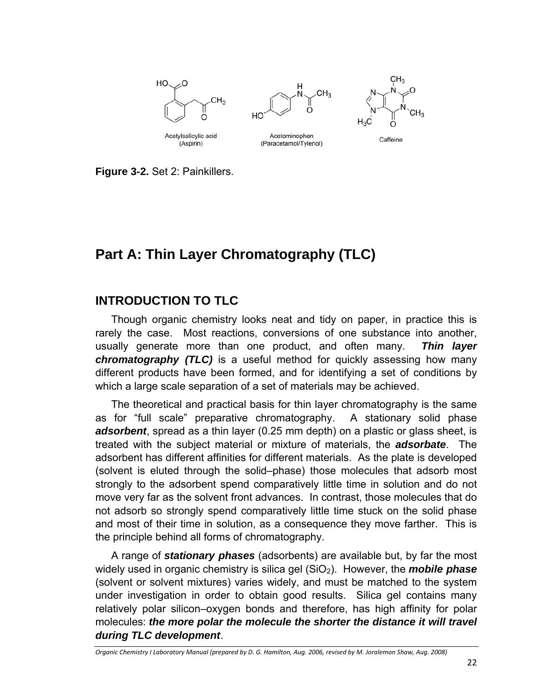

**Figure 3-2.** Set 2: Painkillers.

# **Part A: Thin Layer Chromatography (TLC)**

## **INTRODUCTION TO TLC**

Though organic chemistry looks neat and tidy on paper, in practice this is rarely the case. Most reactions, conversions of one substance into another, usually generate more than one product, and often many. *Thin layer chromatography (TLC)* is a useful method for quickly assessing how many different products have been formed, and for identifying a set of conditions by which a large scale separation of a set of materials may be achieved.

The theoretical and practical basis for thin layer chromatography is the same as for "full scale" preparative chromatography. A stationary solid phase *adsorbent*, spread as a thin layer (0.25 mm depth) on a plastic or glass sheet, is treated with the subject material or mixture of materials, the *adsorbate*. The adsorbent has different affinities for different materials. As the plate is developed (solvent is eluted through the solid–phase) those molecules that adsorb most strongly to the adsorbent spend comparatively little time in solution and do not move very far as the solvent front advances. In contrast, those molecules that do not adsorb so strongly spend comparatively little time stuck on the solid phase and most of their time in solution, as a consequence they move farther. This is the principle behind all forms of chromatography.

A range of *stationary phases* (adsorbents) are available but, by far the most widely used in organic chemistry is silica gel (SiO<sub>2</sub>). However, the **mobile phase** (solvent or solvent mixtures) varies widely, and must be matched to the system under investigation in order to obtain good results. Silica gel contains many relatively polar silicon–oxygen bonds and therefore, has high affinity for polar molecules: *the more polar the molecule the shorter the distance it will travel during TLC development*.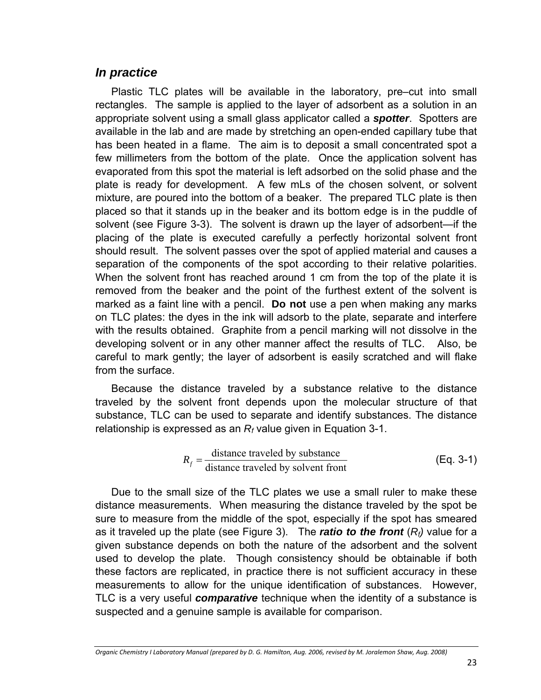### *In practice*

Plastic TLC plates will be available in the laboratory, pre–cut into small rectangles. The sample is applied to the layer of adsorbent as a solution in an appropriate solvent using a small glass applicator called a *spotter*. Spotters are available in the lab and are made by stretching an open-ended capillary tube that has been heated in a flame. The aim is to deposit a small concentrated spot a few millimeters from the bottom of the plate. Once the application solvent has evaporated from this spot the material is left adsorbed on the solid phase and the plate is ready for development. A few mLs of the chosen solvent, or solvent mixture, are poured into the bottom of a beaker. The prepared TLC plate is then placed so that it stands up in the beaker and its bottom edge is in the puddle of solvent (see Figure 3-3). The solvent is drawn up the layer of adsorbent—if the placing of the plate is executed carefully a perfectly horizontal solvent front should result. The solvent passes over the spot of applied material and causes a separation of the components of the spot according to their relative polarities. When the solvent front has reached around 1 cm from the top of the plate it is removed from the beaker and the point of the furthest extent of the solvent is marked as a faint line with a pencil. **Do not** use a pen when making any marks on TLC plates: the dyes in the ink will adsorb to the plate, separate and interfere with the results obtained. Graphite from a pencil marking will not dissolve in the developing solvent or in any other manner affect the results of TLC. Also, be careful to mark gently; the layer of adsorbent is easily scratched and will flake from the surface.

Because the distance traveled by a substance relative to the distance traveled by the solvent front depends upon the molecular structure of that substance, TLC can be used to separate and identify substances. The distance relationship is expressed as an *Rf* value given in Equation 3-1.

$$
R_f = \frac{\text{distance traveled by substance}}{\text{distance traveled by solvent front}} \tag{Eq. 3-1}
$$

Due to the small size of the TLC plates we use a small ruler to make these distance measurements. When measuring the distance traveled by the spot be sure to measure from the middle of the spot, especially if the spot has smeared as it traveled up the plate (see Figure 3). The **ratio to the front**  $(R_f)$  value for a given substance depends on both the nature of the adsorbent and the solvent used to develop the plate. Though consistency should be obtainable if both these factors are replicated, in practice there is not sufficient accuracy in these measurements to allow for the unique identification of substances. However, TLC is a very useful *comparative* technique when the identity of a substance is suspected and a genuine sample is available for comparison.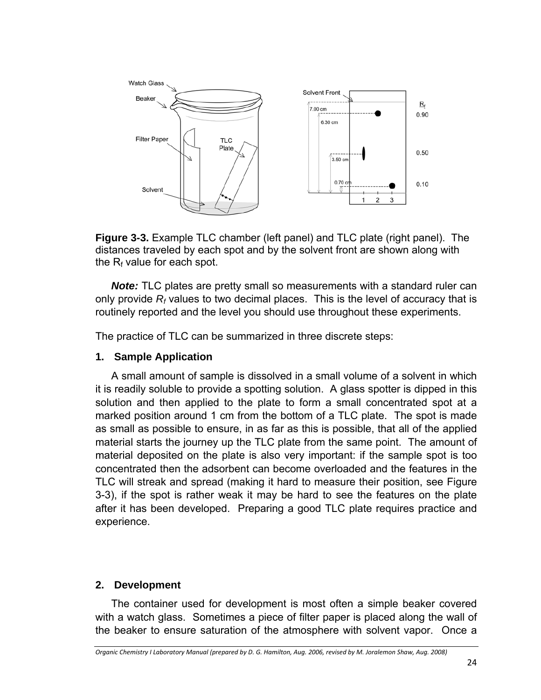

**Figure 3-3.** Example TLC chamber (left panel) and TLC plate (right panel). The distances traveled by each spot and by the solvent front are shown along with the  $R_f$  value for each spot.

*Note:* TLC plates are pretty small so measurements with a standard ruler can only provide *Rf* values to two decimal places. This is the level of accuracy that is routinely reported and the level you should use throughout these experiments.

The practice of TLC can be summarized in three discrete steps:

#### **1. Sample Application**

A small amount of sample is dissolved in a small volume of a solvent in which it is readily soluble to provide a spotting solution. A glass spotter is dipped in this solution and then applied to the plate to form a small concentrated spot at a marked position around 1 cm from the bottom of a TLC plate. The spot is made as small as possible to ensure, in as far as this is possible, that all of the applied material starts the journey up the TLC plate from the same point. The amount of material deposited on the plate is also very important: if the sample spot is too concentrated then the adsorbent can become overloaded and the features in the TLC will streak and spread (making it hard to measure their position, see Figure 3-3), if the spot is rather weak it may be hard to see the features on the plate after it has been developed. Preparing a good TLC plate requires practice and experience.

#### **2. Development**

The container used for development is most often a simple beaker covered with a watch glass. Sometimes a piece of filter paper is placed along the wall of the beaker to ensure saturation of the atmosphere with solvent vapor. Once a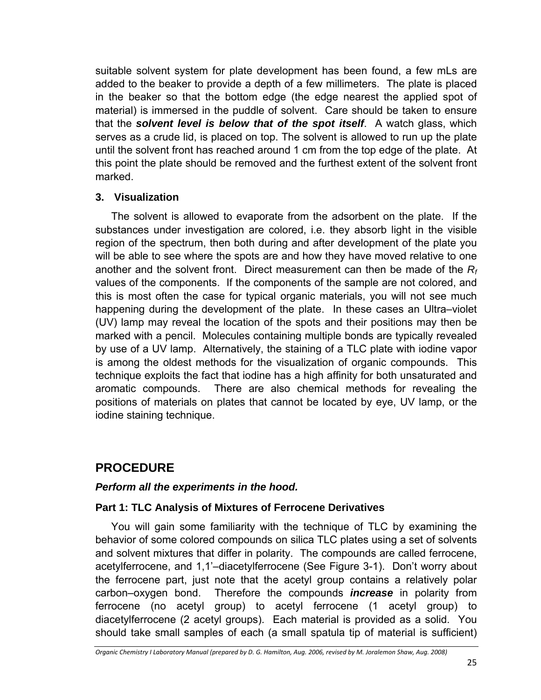suitable solvent system for plate development has been found, a few mLs are added to the beaker to provide a depth of a few millimeters. The plate is placed in the beaker so that the bottom edge (the edge nearest the applied spot of material) is immersed in the puddle of solvent. Care should be taken to ensure that the *solvent level is below that of the spot itself*. A watch glass, which serves as a crude lid, is placed on top. The solvent is allowed to run up the plate until the solvent front has reached around 1 cm from the top edge of the plate. At this point the plate should be removed and the furthest extent of the solvent front marked.

#### **3. Visualization**

The solvent is allowed to evaporate from the adsorbent on the plate. If the substances under investigation are colored, i.e. they absorb light in the visible region of the spectrum, then both during and after development of the plate you will be able to see where the spots are and how they have moved relative to one another and the solvent front. Direct measurement can then be made of the *Rf* values of the components. If the components of the sample are not colored, and this is most often the case for typical organic materials, you will not see much happening during the development of the plate. In these cases an Ultra–violet (UV) lamp may reveal the location of the spots and their positions may then be marked with a pencil. Molecules containing multiple bonds are typically revealed by use of a UV lamp. Alternatively, the staining of a TLC plate with iodine vapor is among the oldest methods for the visualization of organic compounds. This technique exploits the fact that iodine has a high affinity for both unsaturated and aromatic compounds. There are also chemical methods for revealing the positions of materials on plates that cannot be located by eye, UV lamp, or the iodine staining technique.

# **PROCEDURE**

#### *Perform all the experiments in the hood.*

#### **Part 1: TLC Analysis of Mixtures of Ferrocene Derivatives**

You will gain some familiarity with the technique of TLC by examining the behavior of some colored compounds on silica TLC plates using a set of solvents and solvent mixtures that differ in polarity. The compounds are called ferrocene, acetylferrocene, and 1,1'–diacetylferrocene (See Figure 3-1). Don't worry about the ferrocene part, just note that the acetyl group contains a relatively polar carbon–oxygen bond. Therefore the compounds *increase* in polarity from ferrocene (no acetyl group) to acetyl ferrocene (1 acetyl group) to diacetylferrocene (2 acetyl groups). Each material is provided as a solid. You should take small samples of each (a small spatula tip of material is sufficient)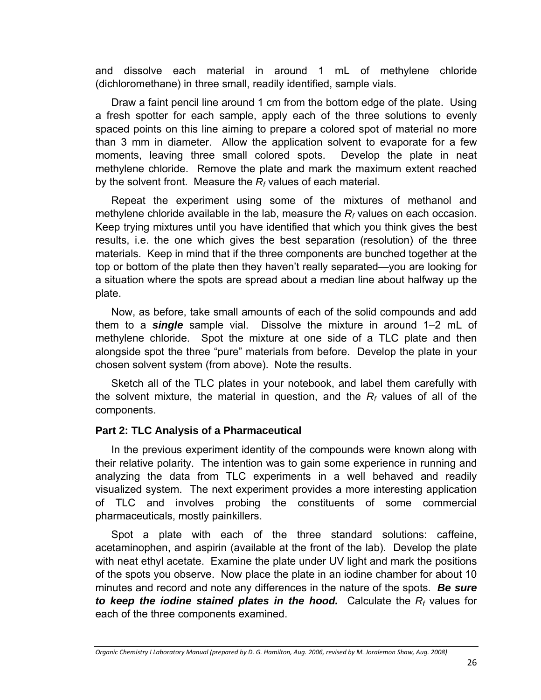and dissolve each material in around 1 mL of methylene chloride (dichloromethane) in three small, readily identified, sample vials.

Draw a faint pencil line around 1 cm from the bottom edge of the plate. Using a fresh spotter for each sample, apply each of the three solutions to evenly spaced points on this line aiming to prepare a colored spot of material no more than 3 mm in diameter. Allow the application solvent to evaporate for a few moments, leaving three small colored spots. Develop the plate in neat methylene chloride. Remove the plate and mark the maximum extent reached by the solvent front. Measure the *Rf* values of each material.

Repeat the experiment using some of the mixtures of methanol and methylene chloride available in the lab, measure the *Rf* values on each occasion. Keep trying mixtures until you have identified that which you think gives the best results, i.e. the one which gives the best separation (resolution) of the three materials. Keep in mind that if the three components are bunched together at the top or bottom of the plate then they haven't really separated—you are looking for a situation where the spots are spread about a median line about halfway up the plate.

Now, as before, take small amounts of each of the solid compounds and add them to a *single* sample vial. Dissolve the mixture in around 1–2 mL of methylene chloride. Spot the mixture at one side of a TLC plate and then alongside spot the three "pure" materials from before. Develop the plate in your chosen solvent system (from above). Note the results.

Sketch all of the TLC plates in your notebook, and label them carefully with the solvent mixture, the material in question, and the *Rf* values of all of the components.

#### **Part 2: TLC Analysis of a Pharmaceutical**

In the previous experiment identity of the compounds were known along with their relative polarity. The intention was to gain some experience in running and analyzing the data from TLC experiments in a well behaved and readily visualized system. The next experiment provides a more interesting application of TLC and involves probing the constituents of some commercial pharmaceuticals, mostly painkillers.

Spot a plate with each of the three standard solutions: caffeine, acetaminophen, and aspirin (available at the front of the lab). Develop the plate with neat ethyl acetate. Examine the plate under UV light and mark the positions of the spots you observe. Now place the plate in an iodine chamber for about 10 minutes and record and note any differences in the nature of the spots. *Be sure to keep the iodine stained plates in the hood.* Calculate the *Rf* values for each of the three components examined.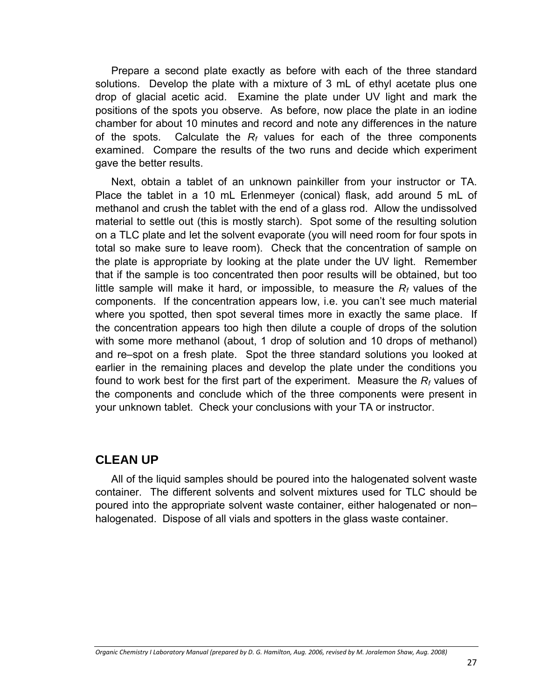Prepare a second plate exactly as before with each of the three standard solutions. Develop the plate with a mixture of 3 mL of ethyl acetate plus one drop of glacial acetic acid. Examine the plate under UV light and mark the positions of the spots you observe. As before, now place the plate in an iodine chamber for about 10 minutes and record and note any differences in the nature of the spots. Calculate the  $R_f$  values for each of the three components examined. Compare the results of the two runs and decide which experiment gave the better results.

Next, obtain a tablet of an unknown painkiller from your instructor or TA. Place the tablet in a 10 mL Erlenmeyer (conical) flask, add around 5 mL of methanol and crush the tablet with the end of a glass rod. Allow the undissolved material to settle out (this is mostly starch). Spot some of the resulting solution on a TLC plate and let the solvent evaporate (you will need room for four spots in total so make sure to leave room). Check that the concentration of sample on the plate is appropriate by looking at the plate under the UV light. Remember that if the sample is too concentrated then poor results will be obtained, but too little sample will make it hard, or impossible, to measure the  $R_f$  values of the components. If the concentration appears low, i.e. you can't see much material where you spotted, then spot several times more in exactly the same place. If the concentration appears too high then dilute a couple of drops of the solution with some more methanol (about, 1 drop of solution and 10 drops of methanol) and re–spot on a fresh plate. Spot the three standard solutions you looked at earlier in the remaining places and develop the plate under the conditions you found to work best for the first part of the experiment. Measure the *Rf* values of the components and conclude which of the three components were present in your unknown tablet. Check your conclusions with your TA or instructor.

#### **CLEAN UP**

All of the liquid samples should be poured into the halogenated solvent waste container. The different solvents and solvent mixtures used for TLC should be poured into the appropriate solvent waste container, either halogenated or non– halogenated. Dispose of all vials and spotters in the glass waste container.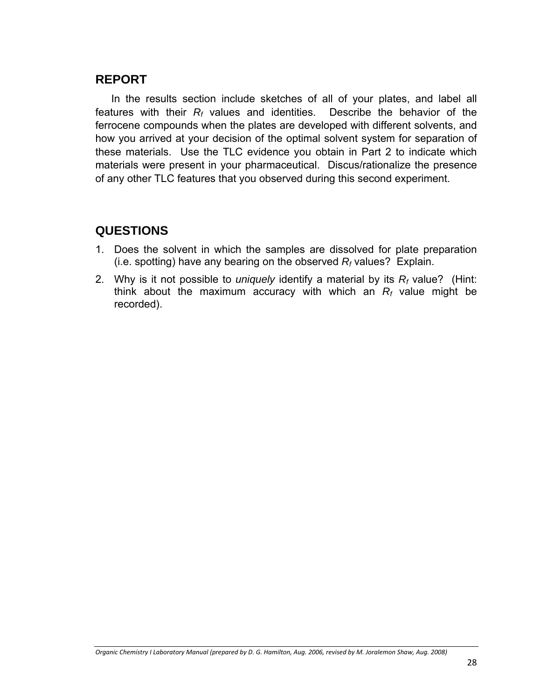### **REPORT**

In the results section include sketches of all of your plates, and label all features with their  $R_f$  values and identities. Describe the behavior of the ferrocene compounds when the plates are developed with different solvents, and how you arrived at your decision of the optimal solvent system for separation of these materials. Use the TLC evidence you obtain in Part 2 to indicate which materials were present in your pharmaceutical. Discus/rationalize the presence of any other TLC features that you observed during this second experiment.

### **QUESTIONS**

- 1. Does the solvent in which the samples are dissolved for plate preparation (i.e. spotting) have any bearing on the observed  $R_f$  values? Explain.
- 2. Why is it not possible to *uniquely* identify a material by its *Rf* value? (Hint: think about the maximum accuracy with which an  $R_f$  value might be recorded).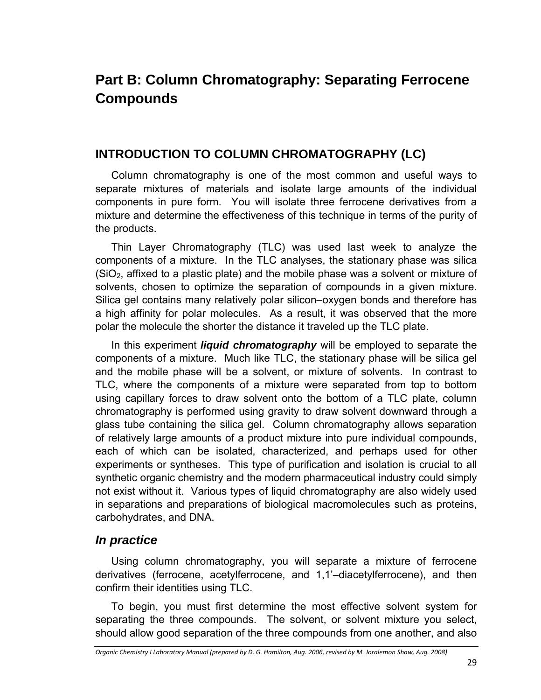# **Part B: Column Chromatography: Separating Ferrocene Compounds**

### **INTRODUCTION TO COLUMN CHROMATOGRAPHY (LC)**

Column chromatography is one of the most common and useful ways to separate mixtures of materials and isolate large amounts of the individual components in pure form. You will isolate three ferrocene derivatives from a mixture and determine the effectiveness of this technique in terms of the purity of the products.

Thin Layer Chromatography (TLC) was used last week to analyze the components of a mixture. In the TLC analyses, the stationary phase was silica  $(SiO<sub>2</sub>)$ , affixed to a plastic plate) and the mobile phase was a solvent or mixture of solvents, chosen to optimize the separation of compounds in a given mixture. Silica gel contains many relatively polar silicon–oxygen bonds and therefore has a high affinity for polar molecules. As a result, it was observed that the more polar the molecule the shorter the distance it traveled up the TLC plate.

In this experiment *liquid chromatography* will be employed to separate the components of a mixture. Much like TLC, the stationary phase will be silica gel and the mobile phase will be a solvent, or mixture of solvents. In contrast to TLC, where the components of a mixture were separated from top to bottom using capillary forces to draw solvent onto the bottom of a TLC plate, column chromatography is performed using gravity to draw solvent downward through a glass tube containing the silica gel. Column chromatography allows separation of relatively large amounts of a product mixture into pure individual compounds, each of which can be isolated, characterized, and perhaps used for other experiments or syntheses. This type of purification and isolation is crucial to all synthetic organic chemistry and the modern pharmaceutical industry could simply not exist without it. Various types of liquid chromatography are also widely used in separations and preparations of biological macromolecules such as proteins, carbohydrates, and DNA.

### *In practice*

Using column chromatography, you will separate a mixture of ferrocene derivatives (ferrocene, acetylferrocene, and 1,1'–diacetylferrocene), and then confirm their identities using TLC.

To begin, you must first determine the most effective solvent system for separating the three compounds. The solvent, or solvent mixture you select, should allow good separation of the three compounds from one another, and also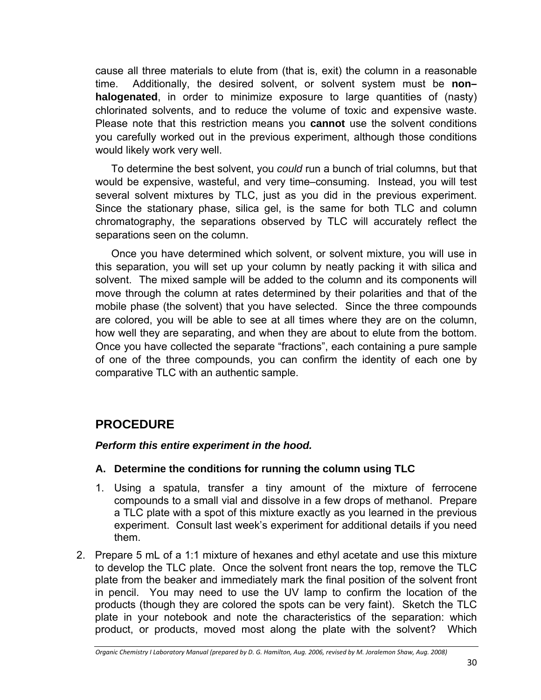cause all three materials to elute from (that is, exit) the column in a reasonable time. Additionally, the desired solvent, or solvent system must be **non– halogenated**, in order to minimize exposure to large quantities of (nasty) chlorinated solvents, and to reduce the volume of toxic and expensive waste. Please note that this restriction means you **cannot** use the solvent conditions you carefully worked out in the previous experiment, although those conditions would likely work very well.

To determine the best solvent, you *could* run a bunch of trial columns, but that would be expensive, wasteful, and very time–consuming. Instead, you will test several solvent mixtures by TLC, just as you did in the previous experiment. Since the stationary phase, silica gel, is the same for both TLC and column chromatography, the separations observed by TLC will accurately reflect the separations seen on the column.

Once you have determined which solvent, or solvent mixture, you will use in this separation, you will set up your column by neatly packing it with silica and solvent. The mixed sample will be added to the column and its components will move through the column at rates determined by their polarities and that of the mobile phase (the solvent) that you have selected. Since the three compounds are colored, you will be able to see at all times where they are on the column, how well they are separating, and when they are about to elute from the bottom. Once you have collected the separate "fractions", each containing a pure sample of one of the three compounds, you can confirm the identity of each one by comparative TLC with an authentic sample.

## **PROCEDURE**

#### *Perform this entire experiment in the hood.*

#### **A. Determine the conditions for running the column using TLC**

- 1. Using a spatula, transfer a tiny amount of the mixture of ferrocene compounds to a small vial and dissolve in a few drops of methanol. Prepare a TLC plate with a spot of this mixture exactly as you learned in the previous experiment. Consult last week's experiment for additional details if you need them.
- 2. Prepare 5 mL of a 1:1 mixture of hexanes and ethyl acetate and use this mixture to develop the TLC plate. Once the solvent front nears the top, remove the TLC plate from the beaker and immediately mark the final position of the solvent front in pencil. You may need to use the UV lamp to confirm the location of the products (though they are colored the spots can be very faint). Sketch the TLC plate in your notebook and note the characteristics of the separation: which product, or products, moved most along the plate with the solvent? Which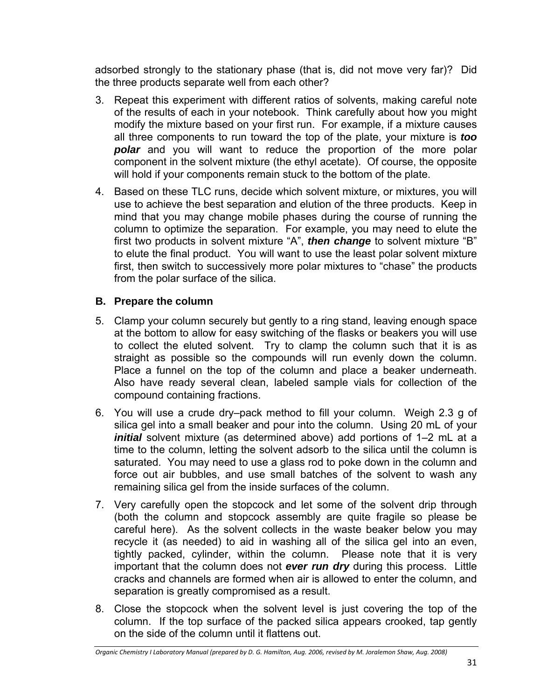adsorbed strongly to the stationary phase (that is, did not move very far)? Did the three products separate well from each other?

- 3. Repeat this experiment with different ratios of solvents, making careful note of the results of each in your notebook. Think carefully about how you might modify the mixture based on your first run. For example, if a mixture causes all three components to run toward the top of the plate, your mixture is *too polar* and you will want to reduce the proportion of the more polar component in the solvent mixture (the ethyl acetate). Of course, the opposite will hold if your components remain stuck to the bottom of the plate.
- 4. Based on these TLC runs, decide which solvent mixture, or mixtures, you will use to achieve the best separation and elution of the three products. Keep in mind that you may change mobile phases during the course of running the column to optimize the separation. For example, you may need to elute the first two products in solvent mixture "A", *then change* to solvent mixture "B" to elute the final product. You will want to use the least polar solvent mixture first, then switch to successively more polar mixtures to "chase" the products from the polar surface of the silica.

#### **B. Prepare the column**

- 5. Clamp your column securely but gently to a ring stand, leaving enough space at the bottom to allow for easy switching of the flasks or beakers you will use to collect the eluted solvent. Try to clamp the column such that it is as straight as possible so the compounds will run evenly down the column. Place a funnel on the top of the column and place a beaker underneath. Also have ready several clean, labeled sample vials for collection of the compound containing fractions.
- 6. You will use a crude dry–pack method to fill your column. Weigh 2.3 g of silica gel into a small beaker and pour into the column. Using 20 mL of your *initial* solvent mixture (as determined above) add portions of 1–2 mL at a time to the column, letting the solvent adsorb to the silica until the column is saturated. You may need to use a glass rod to poke down in the column and force out air bubbles, and use small batches of the solvent to wash any remaining silica gel from the inside surfaces of the column.
- 7. Very carefully open the stopcock and let some of the solvent drip through (both the column and stopcock assembly are quite fragile so please be careful here). As the solvent collects in the waste beaker below you may recycle it (as needed) to aid in washing all of the silica gel into an even, tightly packed, cylinder, within the column. Please note that it is very important that the column does not *ever run dry* during this process. Little cracks and channels are formed when air is allowed to enter the column, and separation is greatly compromised as a result.
- 8. Close the stopcock when the solvent level is just covering the top of the column. If the top surface of the packed silica appears crooked, tap gently on the side of the column until it flattens out.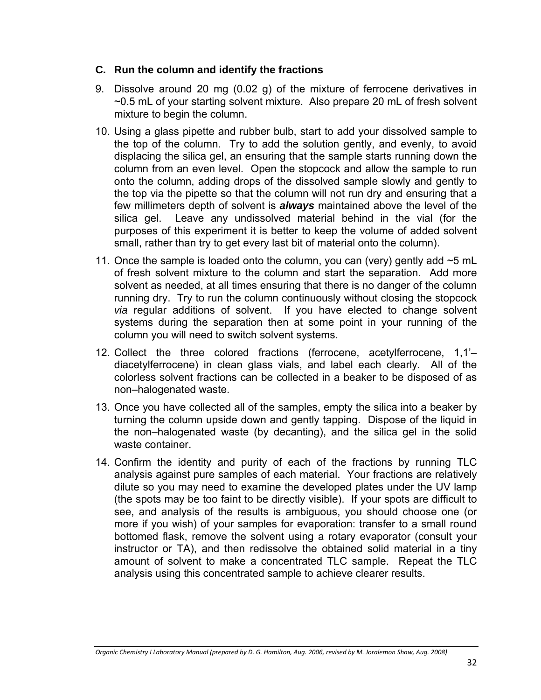#### **C. Run the column and identify the fractions**

- 9. Dissolve around 20 mg (0.02 g) of the mixture of ferrocene derivatives in ~0.5 mL of your starting solvent mixture. Also prepare 20 mL of fresh solvent mixture to begin the column.
- 10. Using a glass pipette and rubber bulb, start to add your dissolved sample to the top of the column. Try to add the solution gently, and evenly, to avoid displacing the silica gel, an ensuring that the sample starts running down the column from an even level. Open the stopcock and allow the sample to run onto the column, adding drops of the dissolved sample slowly and gently to the top via the pipette so that the column will not run dry and ensuring that a few millimeters depth of solvent is *always* maintained above the level of the silica gel. Leave any undissolved material behind in the vial (for the purposes of this experiment it is better to keep the volume of added solvent small, rather than try to get every last bit of material onto the column).
- 11. Once the sample is loaded onto the column, you can (very) gently add  $\sim$ 5 mL of fresh solvent mixture to the column and start the separation. Add more solvent as needed, at all times ensuring that there is no danger of the column running dry. Try to run the column continuously without closing the stopcock *via* regular additions of solvent. If you have elected to change solvent systems during the separation then at some point in your running of the column you will need to switch solvent systems.
- 12. Collect the three colored fractions (ferrocene, acetylferrocene, 1,1'– diacetylferrocene) in clean glass vials, and label each clearly. All of the colorless solvent fractions can be collected in a beaker to be disposed of as non–halogenated waste.
- 13. Once you have collected all of the samples, empty the silica into a beaker by turning the column upside down and gently tapping. Dispose of the liquid in the non–halogenated waste (by decanting), and the silica gel in the solid waste container.
- 14. Confirm the identity and purity of each of the fractions by running TLC analysis against pure samples of each material. Your fractions are relatively dilute so you may need to examine the developed plates under the UV lamp (the spots may be too faint to be directly visible). If your spots are difficult to see, and analysis of the results is ambiguous, you should choose one (or more if you wish) of your samples for evaporation: transfer to a small round bottomed flask, remove the solvent using a rotary evaporator (consult your instructor or TA), and then redissolve the obtained solid material in a tiny amount of solvent to make a concentrated TLC sample. Repeat the TLC analysis using this concentrated sample to achieve clearer results.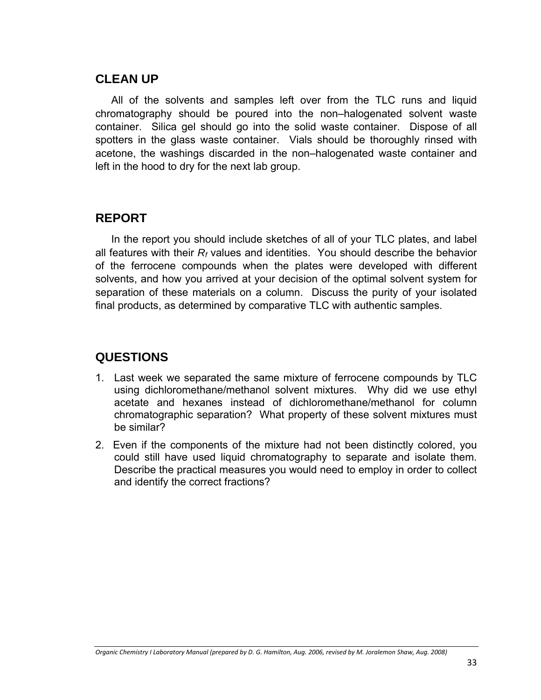## **CLEAN UP**

All of the solvents and samples left over from the TLC runs and liquid chromatography should be poured into the non–halogenated solvent waste container. Silica gel should go into the solid waste container. Dispose of all spotters in the glass waste container. Vials should be thoroughly rinsed with acetone, the washings discarded in the non–halogenated waste container and left in the hood to dry for the next lab group.

## **REPORT**

In the report you should include sketches of all of your TLC plates, and label all features with their *Rf* values and identities. You should describe the behavior of the ferrocene compounds when the plates were developed with different solvents, and how you arrived at your decision of the optimal solvent system for separation of these materials on a column. Discuss the purity of your isolated final products, as determined by comparative TLC with authentic samples.

## **QUESTIONS**

- 1. Last week we separated the same mixture of ferrocene compounds by TLC using dichloromethane/methanol solvent mixtures. Why did we use ethyl acetate and hexanes instead of dichloromethane/methanol for column chromatographic separation? What property of these solvent mixtures must be similar?
- 2. Even if the components of the mixture had not been distinctly colored, you could still have used liquid chromatography to separate and isolate them. Describe the practical measures you would need to employ in order to collect and identify the correct fractions?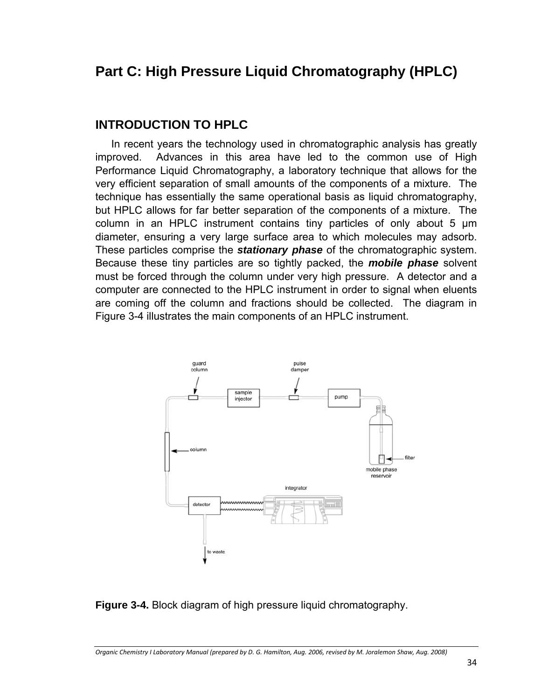# **Part C: High Pressure Liquid Chromatography (HPLC)**

## **INTRODUCTION TO HPLC**

In recent years the technology used in chromatographic analysis has greatly improved. Advances in this area have led to the common use of High Performance Liquid Chromatography, a laboratory technique that allows for the very efficient separation of small amounts of the components of a mixture. The technique has essentially the same operational basis as liquid chromatography, but HPLC allows for far better separation of the components of a mixture. The column in an HPLC instrument contains tiny particles of only about 5 µm diameter, ensuring a very large surface area to which molecules may adsorb. These particles comprise the *stationary phase* of the chromatographic system. Because these tiny particles are so tightly packed, the *mobile phase* solvent must be forced through the column under very high pressure. A detector and a computer are connected to the HPLC instrument in order to signal when eluents are coming off the column and fractions should be collected. The diagram in Figure 3-4 illustrates the main components of an HPLC instrument.



#### **Figure 3-4.** Block diagram of high pressure liquid chromatography.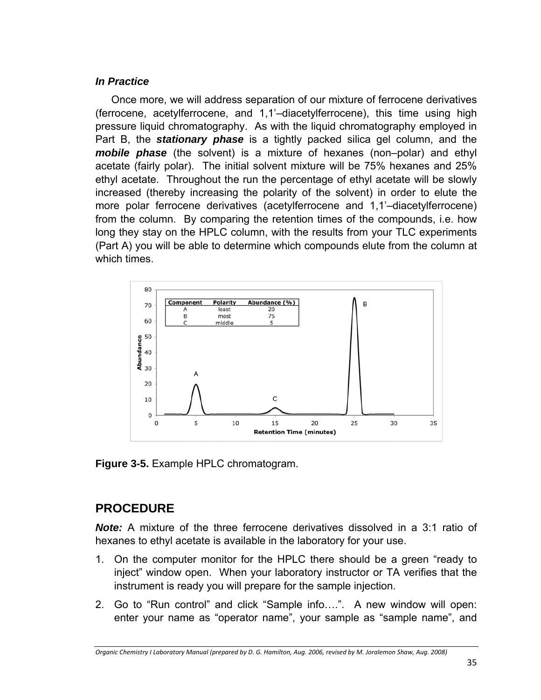#### *In Practice*

Once more, we will address separation of our mixture of ferrocene derivatives (ferrocene, acetylferrocene, and 1,1'–diacetylferrocene), this time using high pressure liquid chromatography. As with the liquid chromatography employed in Part B, the *stationary phase* is a tightly packed silica gel column, and the *mobile phase* (the solvent) is a mixture of hexanes (non–polar) and ethyl acetate (fairly polar). The initial solvent mixture will be 75% hexanes and 25% ethyl acetate. Throughout the run the percentage of ethyl acetate will be slowly increased (thereby increasing the polarity of the solvent) in order to elute the more polar ferrocene derivatives (acetylferrocene and 1,1'–diacetylferrocene) from the column. By comparing the retention times of the compounds, i.e. how long they stay on the HPLC column, with the results from your TLC experiments (Part A) you will be able to determine which compounds elute from the column at which times.



**Figure 3-5.** Example HPLC chromatogram.

# **PROCEDURE**

*Note:* A mixture of the three ferrocene derivatives dissolved in a 3:1 ratio of hexanes to ethyl acetate is available in the laboratory for your use.

- 1. On the computer monitor for the HPLC there should be a green "ready to inject" window open. When your laboratory instructor or TA verifies that the instrument is ready you will prepare for the sample injection.
- 2. Go to "Run control" and click "Sample info….". A new window will open: enter your name as "operator name", your sample as "sample name", and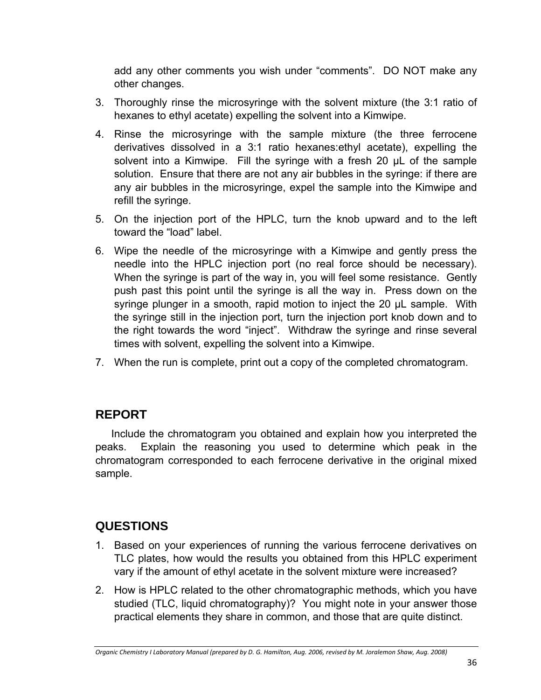add any other comments you wish under "comments". DO NOT make any other changes.

- 3. Thoroughly rinse the microsyringe with the solvent mixture (the 3:1 ratio of hexanes to ethyl acetate) expelling the solvent into a Kimwipe.
- 4. Rinse the microsyringe with the sample mixture (the three ferrocene derivatives dissolved in a 3:1 ratio hexanes:ethyl acetate), expelling the solvent into a Kimwipe. Fill the syringe with a fresh 20  $\mu$ L of the sample solution. Ensure that there are not any air bubbles in the syringe: if there are any air bubbles in the microsyringe, expel the sample into the Kimwipe and refill the syringe.
- 5. On the injection port of the HPLC, turn the knob upward and to the left toward the "load" label.
- 6. Wipe the needle of the microsyringe with a Kimwipe and gently press the needle into the HPLC injection port (no real force should be necessary). When the syringe is part of the way in, you will feel some resistance. Gently push past this point until the syringe is all the way in. Press down on the syringe plunger in a smooth, rapid motion to inject the 20  $\mu$ L sample. With the syringe still in the injection port, turn the injection port knob down and to the right towards the word "inject". Withdraw the syringe and rinse several times with solvent, expelling the solvent into a Kimwipe.
- 7. When the run is complete, print out a copy of the completed chromatogram.

# **REPORT**

Include the chromatogram you obtained and explain how you interpreted the peaks. Explain the reasoning you used to determine which peak in the chromatogram corresponded to each ferrocene derivative in the original mixed sample.

# **QUESTIONS**

- 1. Based on your experiences of running the various ferrocene derivatives on TLC plates, how would the results you obtained from this HPLC experiment vary if the amount of ethyl acetate in the solvent mixture were increased?
- 2. How is HPLC related to the other chromatographic methods, which you have studied (TLC, liquid chromatography)? You might note in your answer those practical elements they share in common, and those that are quite distinct.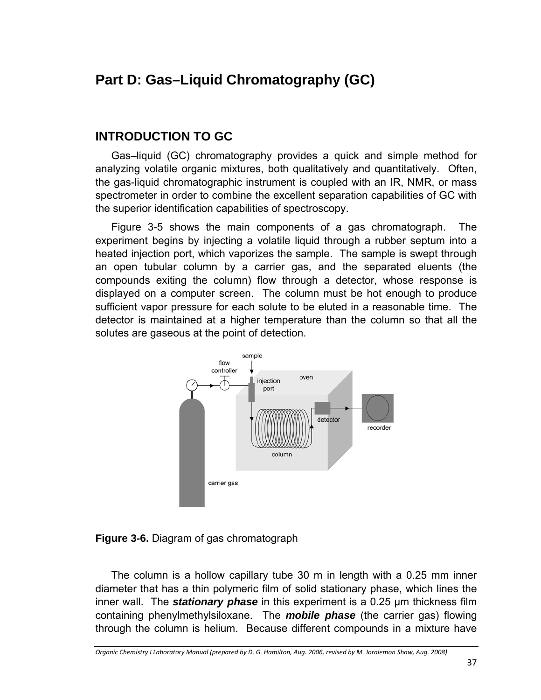# **Part D: Gas–Liquid Chromatography (GC)**

### **INTRODUCTION TO GC**

Gas–liquid (GC) chromatography provides a quick and simple method for analyzing volatile organic mixtures, both qualitatively and quantitatively. Often, the gas-liquid chromatographic instrument is coupled with an IR, NMR, or mass spectrometer in order to combine the excellent separation capabilities of GC with the superior identification capabilities of spectroscopy.

Figure 3-5 shows the main components of a gas chromatograph. The experiment begins by injecting a volatile liquid through a rubber septum into a heated injection port, which vaporizes the sample. The sample is swept through an open tubular column by a carrier gas, and the separated eluents (the compounds exiting the column) flow through a detector, whose response is displayed on a computer screen. The column must be hot enough to produce sufficient vapor pressure for each solute to be eluted in a reasonable time. The detector is maintained at a higher temperature than the column so that all the solutes are gaseous at the point of detection.



**Figure 3-6.** Diagram of gas chromatograph

The column is a hollow capillary tube 30 m in length with a 0.25 mm inner diameter that has a thin polymeric film of solid stationary phase, which lines the inner wall. The *stationary phase* in this experiment is a 0.25 µm thickness film containing phenylmethylsiloxane. The *mobile phase* (the carrier gas) flowing through the column is helium. Because different compounds in a mixture have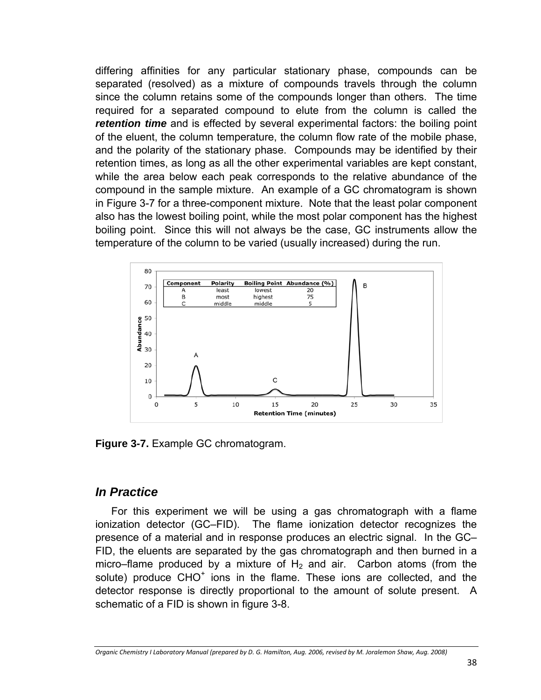differing affinities for any particular stationary phase, compounds can be separated (resolved) as a mixture of compounds travels through the column since the column retains some of the compounds longer than others. The time required for a separated compound to elute from the column is called the **retention time** and is effected by several experimental factors: the boiling point of the eluent, the column temperature, the column flow rate of the mobile phase, and the polarity of the stationary phase. Compounds may be identified by their retention times, as long as all the other experimental variables are kept constant, while the area below each peak corresponds to the relative abundance of the compound in the sample mixture. An example of a GC chromatogram is shown in Figure 3-7 for a three-component mixture. Note that the least polar component also has the lowest boiling point, while the most polar component has the highest boiling point. Since this will not always be the case, GC instruments allow the temperature of the column to be varied (usually increased) during the run.



**Figure 3-7.** Example GC chromatogram.

### *In Practice*

For this experiment we will be using a gas chromatograph with a flame ionization detector (GC–FID). The flame ionization detector recognizes the presence of a material and in response produces an electric signal. In the GC– FID, the eluents are separated by the gas chromatograph and then burned in a micro–flame produced by a mixture of  $H_2$  and air. Carbon atoms (from the solute) produce CHO<sup>+</sup> ions in the flame. These ions are collected, and the detector response is directly proportional to the amount of solute present. A schematic of a FID is shown in figure 3-8.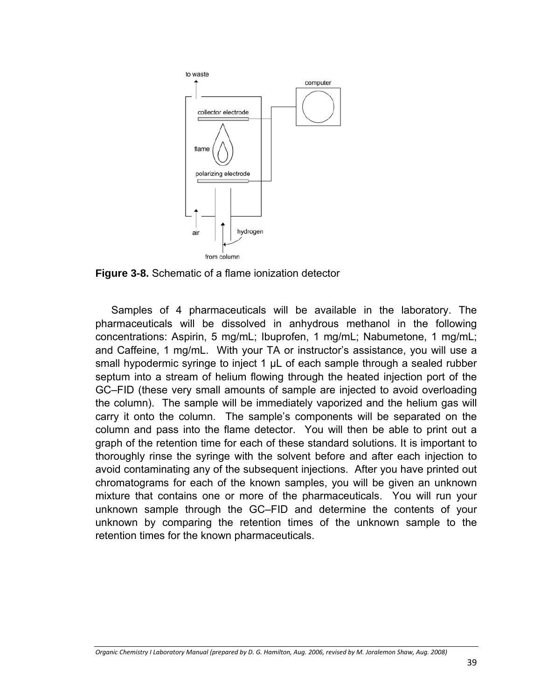

**Figure 3-8.** Schematic of a flame ionization detector

Samples of 4 pharmaceuticals will be available in the laboratory. The pharmaceuticals will be dissolved in anhydrous methanol in the following concentrations: Aspirin, 5 mg/mL; Ibuprofen, 1 mg/mL; Nabumetone, 1 mg/mL; and Caffeine, 1 mg/mL. With your TA or instructor's assistance, you will use a small hypodermic syringe to inject 1  $\mu$ L of each sample through a sealed rubber septum into a stream of helium flowing through the heated injection port of the GC–FID (these very small amounts of sample are injected to avoid overloading the column). The sample will be immediately vaporized and the helium gas will carry it onto the column. The sample's components will be separated on the column and pass into the flame detector. You will then be able to print out a graph of the retention time for each of these standard solutions. It is important to thoroughly rinse the syringe with the solvent before and after each injection to avoid contaminating any of the subsequent injections. After you have printed out chromatograms for each of the known samples, you will be given an unknown mixture that contains one or more of the pharmaceuticals. You will run your unknown sample through the GC–FID and determine the contents of your unknown by comparing the retention times of the unknown sample to the retention times for the known pharmaceuticals.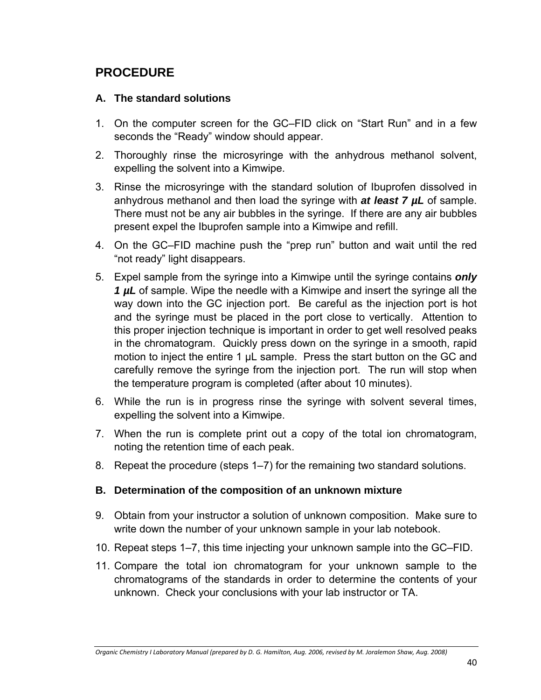## **PROCEDURE**

#### **A. The standard solutions**

- 1. On the computer screen for the GC–FID click on "Start Run" and in a few seconds the "Ready" window should appear.
- 2. Thoroughly rinse the microsyringe with the anhydrous methanol solvent, expelling the solvent into a Kimwipe.
- 3. Rinse the microsyringe with the standard solution of Ibuprofen dissolved in anhydrous methanol and then load the syringe with *at least 7 µL* of sample. There must not be any air bubbles in the syringe. If there are any air bubbles present expel the Ibuprofen sample into a Kimwipe and refill.
- 4. On the GC–FID machine push the "prep run" button and wait until the red "not ready" light disappears.
- 5. Expel sample from the syringe into a Kimwipe until the syringe contains *only 1 µL* of sample. Wipe the needle with a Kimwipe and insert the syringe all the way down into the GC injection port. Be careful as the injection port is hot and the syringe must be placed in the port close to vertically. Attention to this proper injection technique is important in order to get well resolved peaks in the chromatogram. Quickly press down on the syringe in a smooth, rapid motion to inject the entire 1 µL sample. Press the start button on the GC and carefully remove the syringe from the injection port. The run will stop when the temperature program is completed (after about 10 minutes).
- 6. While the run is in progress rinse the syringe with solvent several times, expelling the solvent into a Kimwipe.
- 7. When the run is complete print out a copy of the total ion chromatogram, noting the retention time of each peak.
- 8. Repeat the procedure (steps 1–7) for the remaining two standard solutions.

#### **B. Determination of the composition of an unknown mixture**

- 9. Obtain from your instructor a solution of unknown composition. Make sure to write down the number of your unknown sample in your lab notebook.
- 10. Repeat steps 1–7, this time injecting your unknown sample into the GC–FID.
- 11. Compare the total ion chromatogram for your unknown sample to the chromatograms of the standards in order to determine the contents of your unknown. Check your conclusions with your lab instructor or TA.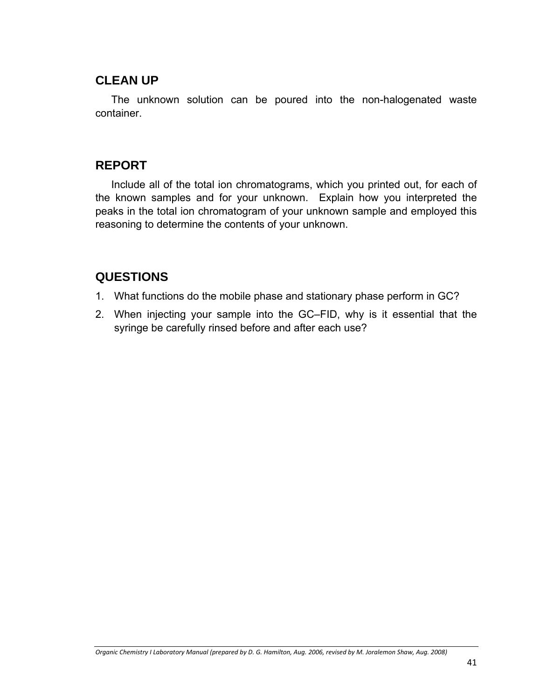### **CLEAN UP**

The unknown solution can be poured into the non-halogenated waste container.

## **REPORT**

Include all of the total ion chromatograms, which you printed out, for each of the known samples and for your unknown. Explain how you interpreted the peaks in the total ion chromatogram of your unknown sample and employed this reasoning to determine the contents of your unknown.

## **QUESTIONS**

- 1. What functions do the mobile phase and stationary phase perform in GC?
- 2. When injecting your sample into the GC–FID, why is it essential that the syringe be carefully rinsed before and after each use?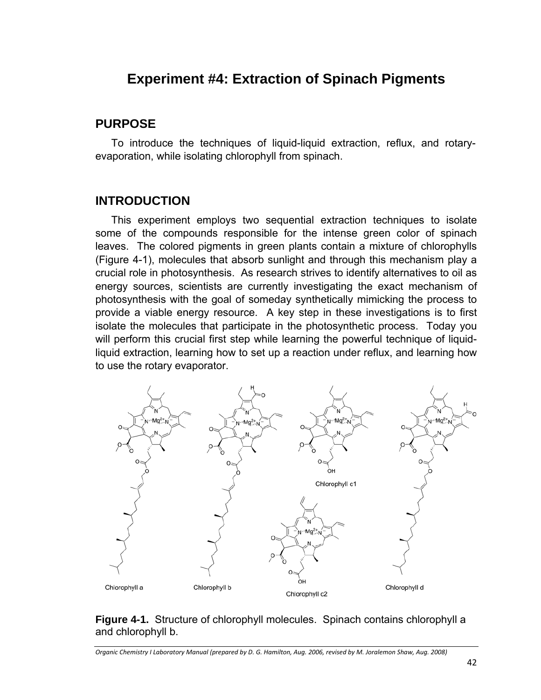# **Experiment #4: Extraction of Spinach Pigments**

#### **PURPOSE**

To introduce the techniques of liquid-liquid extraction, reflux, and rotaryevaporation, while isolating chlorophyll from spinach.

## **INTRODUCTION**

This experiment employs two sequential extraction techniques to isolate some of the compounds responsible for the intense green color of spinach leaves. The colored pigments in green plants contain a mixture of chlorophylls (Figure 4-1), molecules that absorb sunlight and through this mechanism play a crucial role in photosynthesis. As research strives to identify alternatives to oil as energy sources, scientists are currently investigating the exact mechanism of photosynthesis with the goal of someday synthetically mimicking the process to provide a viable energy resource. A key step in these investigations is to first isolate the molecules that participate in the photosynthetic process. Today you will perform this crucial first step while learning the powerful technique of liquidliquid extraction, learning how to set up a reaction under reflux, and learning how to use the rotary evaporator.



#### **Figure 4-1.** Structure of chlorophyll molecules. Spinach contains chlorophyll a and chlorophyll b.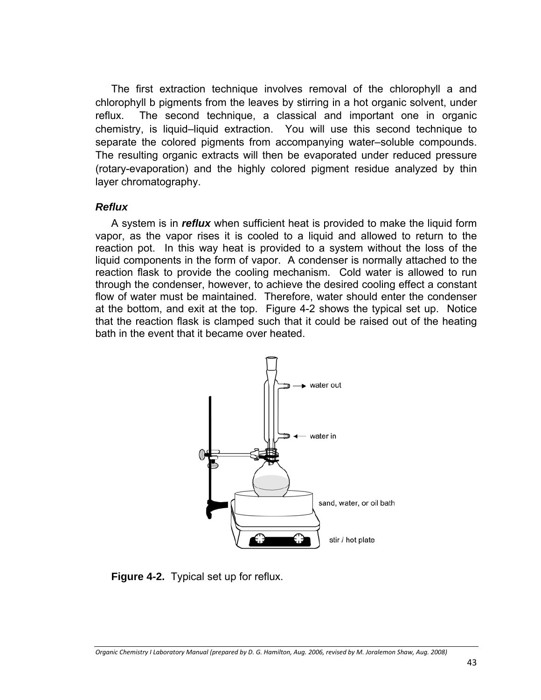The first extraction technique involves removal of the chlorophyll a and chlorophyll b pigments from the leaves by stirring in a hot organic solvent, under reflux. The second technique, a classical and important one in organic chemistry, is liquid–liquid extraction. You will use this second technique to separate the colored pigments from accompanying water–soluble compounds. The resulting organic extracts will then be evaporated under reduced pressure (rotary-evaporation) and the highly colored pigment residue analyzed by thin layer chromatography.

#### *Reflux*

A system is in *reflux* when sufficient heat is provided to make the liquid form vapor, as the vapor rises it is cooled to a liquid and allowed to return to the reaction pot. In this way heat is provided to a system without the loss of the liquid components in the form of vapor. A condenser is normally attached to the reaction flask to provide the cooling mechanism. Cold water is allowed to run through the condenser, however, to achieve the desired cooling effect a constant flow of water must be maintained. Therefore, water should enter the condenser at the bottom, and exit at the top. Figure 4-2 shows the typical set up. Notice that the reaction flask is clamped such that it could be raised out of the heating bath in the event that it became over heated.



**Figure 4-2.** Typical set up for reflux.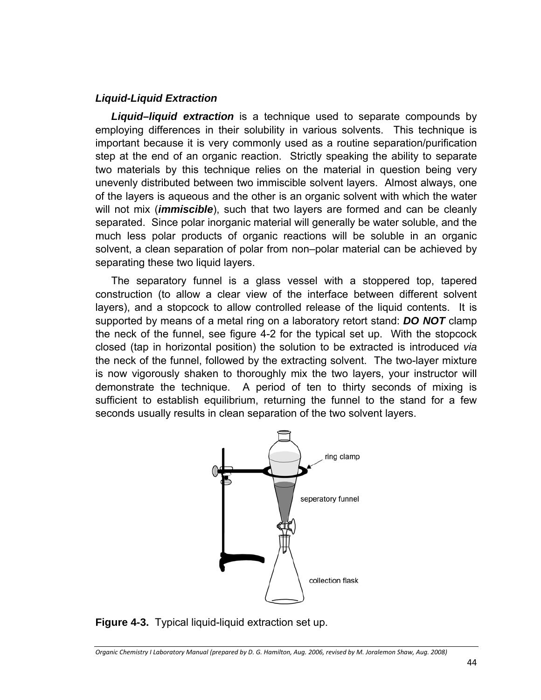#### *Liquid-Liquid Extraction*

*Liquid–liquid extraction* is a technique used to separate compounds by employing differences in their solubility in various solvents. This technique is important because it is very commonly used as a routine separation/purification step at the end of an organic reaction. Strictly speaking the ability to separate two materials by this technique relies on the material in question being very unevenly distributed between two immiscible solvent layers. Almost always, one of the layers is aqueous and the other is an organic solvent with which the water will not mix (*immiscible*), such that two layers are formed and can be cleanly separated. Since polar inorganic material will generally be water soluble, and the much less polar products of organic reactions will be soluble in an organic solvent, a clean separation of polar from non–polar material can be achieved by separating these two liquid layers.

The separatory funnel is a glass vessel with a stoppered top, tapered construction (to allow a clear view of the interface between different solvent layers), and a stopcock to allow controlled release of the liquid contents. It is supported by means of a metal ring on a laboratory retort stand: *DO NOT* clamp the neck of the funnel, see figure 4-2 for the typical set up. With the stopcock closed (tap in horizontal position) the solution to be extracted is introduced *via* the neck of the funnel, followed by the extracting solvent. The two-layer mixture is now vigorously shaken to thoroughly mix the two layers, your instructor will demonstrate the technique. A period of ten to thirty seconds of mixing is sufficient to establish equilibrium, returning the funnel to the stand for a few seconds usually results in clean separation of the two solvent layers.



**Figure 4-3.** Typical liquid-liquid extraction set up.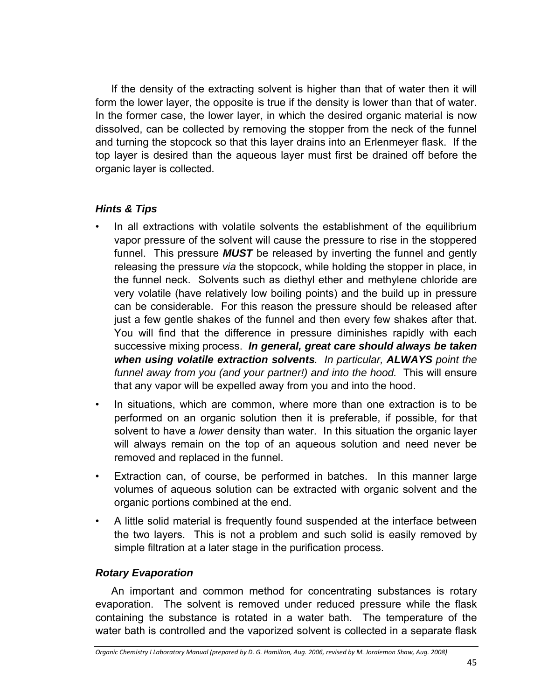If the density of the extracting solvent is higher than that of water then it will form the lower layer, the opposite is true if the density is lower than that of water. In the former case, the lower layer, in which the desired organic material is now dissolved, can be collected by removing the stopper from the neck of the funnel and turning the stopcock so that this layer drains into an Erlenmeyer flask. If the top layer is desired than the aqueous layer must first be drained off before the organic layer is collected.

#### *Hints & Tips*

- In all extractions with volatile solvents the establishment of the equilibrium vapor pressure of the solvent will cause the pressure to rise in the stoppered funnel. This pressure *MUST* be released by inverting the funnel and gently releasing the pressure *via* the stopcock, while holding the stopper in place, in the funnel neck. Solvents such as diethyl ether and methylene chloride are very volatile (have relatively low boiling points) and the build up in pressure can be considerable. For this reason the pressure should be released after just a few gentle shakes of the funnel and then every few shakes after that. You will find that the difference in pressure diminishes rapidly with each successive mixing process. *In general, great care should always be taken when using volatile extraction solvents. In particular, ALWAYS point the funnel away from you (and your partner!) and into the hood.* This will ensure that any vapor will be expelled away from you and into the hood.
- In situations, which are common, where more than one extraction is to be performed on an organic solution then it is preferable, if possible, for that solvent to have a *lower* density than water. In this situation the organic layer will always remain on the top of an aqueous solution and need never be removed and replaced in the funnel.
- Extraction can, of course, be performed in batches. In this manner large volumes of aqueous solution can be extracted with organic solvent and the organic portions combined at the end.
- A little solid material is frequently found suspended at the interface between the two layers. This is not a problem and such solid is easily removed by simple filtration at a later stage in the purification process.

### *Rotary Evaporation*

An important and common method for concentrating substances is rotary evaporation. The solvent is removed under reduced pressure while the flask containing the substance is rotated in a water bath. The temperature of the water bath is controlled and the vaporized solvent is collected in a separate flask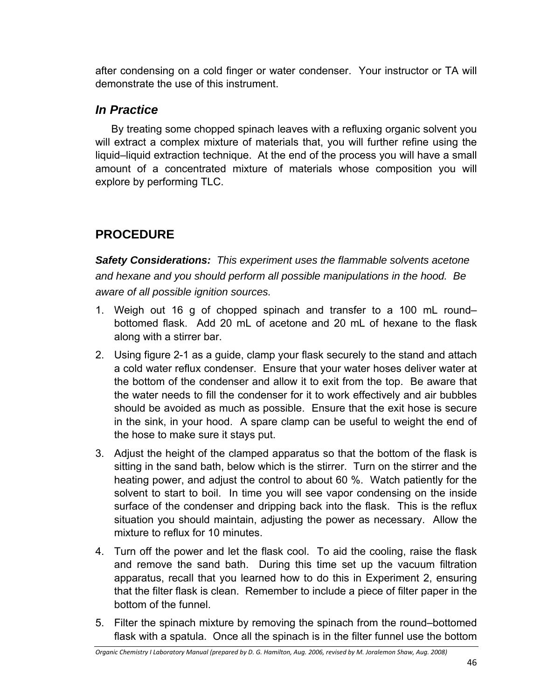after condensing on a cold finger or water condenser. Your instructor or TA will demonstrate the use of this instrument.

## *In Practice*

By treating some chopped spinach leaves with a refluxing organic solvent you will extract a complex mixture of materials that, you will further refine using the liquid–liquid extraction technique. At the end of the process you will have a small amount of a concentrated mixture of materials whose composition you will explore by performing TLC.

# **PROCEDURE**

*Safety Considerations: This experiment uses the flammable solvents acetone and hexane and you should perform all possible manipulations in the hood. Be aware of all possible ignition sources.* 

- 1. Weigh out 16 g of chopped spinach and transfer to a 100 mL round– bottomed flask. Add 20 mL of acetone and 20 mL of hexane to the flask along with a stirrer bar.
- 2. Using figure 2-1 as a guide, clamp your flask securely to the stand and attach a cold water reflux condenser. Ensure that your water hoses deliver water at the bottom of the condenser and allow it to exit from the top. Be aware that the water needs to fill the condenser for it to work effectively and air bubbles should be avoided as much as possible. Ensure that the exit hose is secure in the sink, in your hood. A spare clamp can be useful to weight the end of the hose to make sure it stays put.
- 3. Adjust the height of the clamped apparatus so that the bottom of the flask is sitting in the sand bath, below which is the stirrer. Turn on the stirrer and the heating power, and adjust the control to about 60 %. Watch patiently for the solvent to start to boil. In time you will see vapor condensing on the inside surface of the condenser and dripping back into the flask. This is the reflux situation you should maintain, adjusting the power as necessary. Allow the mixture to reflux for 10 minutes.
- 4. Turn off the power and let the flask cool. To aid the cooling, raise the flask and remove the sand bath. During this time set up the vacuum filtration apparatus, recall that you learned how to do this in Experiment 2, ensuring that the filter flask is clean. Remember to include a piece of filter paper in the bottom of the funnel.
- 5. Filter the spinach mixture by removing the spinach from the round–bottomed flask with a spatula. Once all the spinach is in the filter funnel use the bottom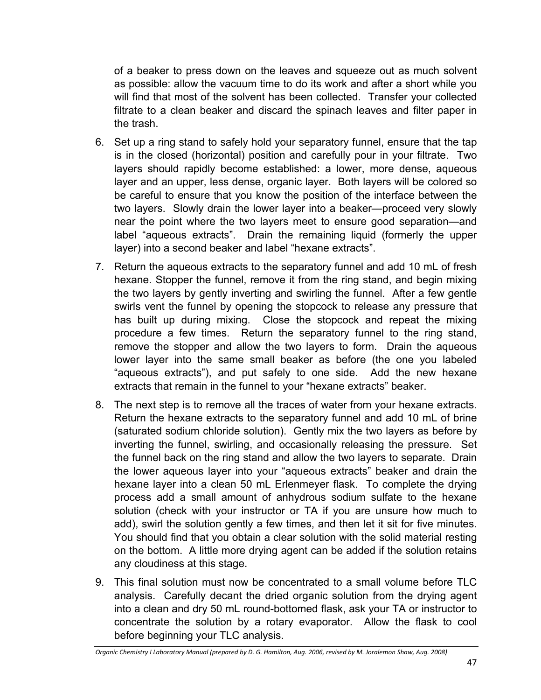of a beaker to press down on the leaves and squeeze out as much solvent as possible: allow the vacuum time to do its work and after a short while you will find that most of the solvent has been collected. Transfer your collected filtrate to a clean beaker and discard the spinach leaves and filter paper in the trash.

- 6. Set up a ring stand to safely hold your separatory funnel, ensure that the tap is in the closed (horizontal) position and carefully pour in your filtrate. Two layers should rapidly become established: a lower, more dense, aqueous layer and an upper, less dense, organic layer. Both layers will be colored so be careful to ensure that you know the position of the interface between the two layers. Slowly drain the lower layer into a beaker—proceed very slowly near the point where the two layers meet to ensure good separation—and label "aqueous extracts". Drain the remaining liquid (formerly the upper layer) into a second beaker and label "hexane extracts".
- 7. Return the aqueous extracts to the separatory funnel and add 10 mL of fresh hexane. Stopper the funnel, remove it from the ring stand, and begin mixing the two layers by gently inverting and swirling the funnel. After a few gentle swirls vent the funnel by opening the stopcock to release any pressure that has built up during mixing. Close the stopcock and repeat the mixing procedure a few times. Return the separatory funnel to the ring stand, remove the stopper and allow the two layers to form. Drain the aqueous lower layer into the same small beaker as before (the one you labeled "aqueous extracts"), and put safely to one side. Add the new hexane extracts that remain in the funnel to your "hexane extracts" beaker.
- 8. The next step is to remove all the traces of water from your hexane extracts. Return the hexane extracts to the separatory funnel and add 10 mL of brine (saturated sodium chloride solution). Gently mix the two layers as before by inverting the funnel, swirling, and occasionally releasing the pressure. Set the funnel back on the ring stand and allow the two layers to separate. Drain the lower aqueous layer into your "aqueous extracts" beaker and drain the hexane layer into a clean 50 mL Erlenmeyer flask. To complete the drying process add a small amount of anhydrous sodium sulfate to the hexane solution (check with your instructor or TA if you are unsure how much to add), swirl the solution gently a few times, and then let it sit for five minutes. You should find that you obtain a clear solution with the solid material resting on the bottom. A little more drying agent can be added if the solution retains any cloudiness at this stage.
- 9. This final solution must now be concentrated to a small volume before TLC analysis. Carefully decant the dried organic solution from the drying agent into a clean and dry 50 mL round-bottomed flask, ask your TA or instructor to concentrate the solution by a rotary evaporator. Allow the flask to cool before beginning your TLC analysis.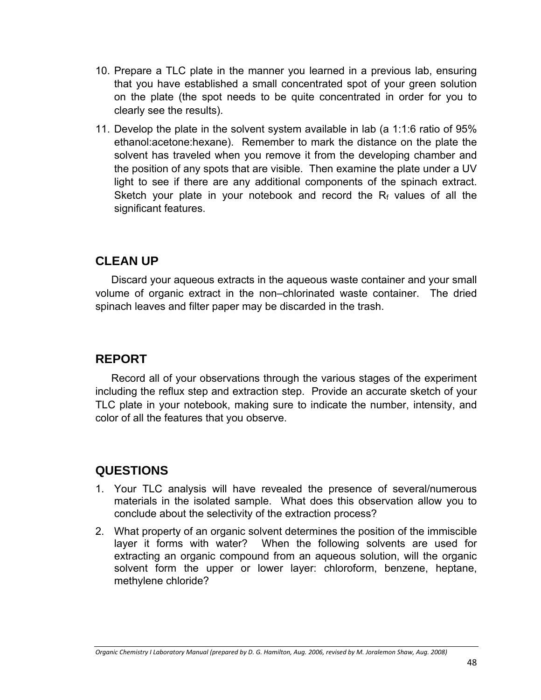- 10. Prepare a TLC plate in the manner you learned in a previous lab, ensuring that you have established a small concentrated spot of your green solution on the plate (the spot needs to be quite concentrated in order for you to clearly see the results).
- 11. Develop the plate in the solvent system available in lab (a 1:1:6 ratio of 95% ethanol:acetone:hexane). Remember to mark the distance on the plate the solvent has traveled when you remove it from the developing chamber and the position of any spots that are visible. Then examine the plate under a UV light to see if there are any additional components of the spinach extract. Sketch your plate in your notebook and record the  $R_f$  values of all the significant features.

## **CLEAN UP**

Discard your aqueous extracts in the aqueous waste container and your small volume of organic extract in the non–chlorinated waste container. The dried spinach leaves and filter paper may be discarded in the trash.

## **REPORT**

Record all of your observations through the various stages of the experiment including the reflux step and extraction step. Provide an accurate sketch of your TLC plate in your notebook, making sure to indicate the number, intensity, and color of all the features that you observe.

## **QUESTIONS**

- 1. Your TLC analysis will have revealed the presence of several/numerous materials in the isolated sample. What does this observation allow you to conclude about the selectivity of the extraction process?
- 2. What property of an organic solvent determines the position of the immiscible layer it forms with water? When the following solvents are used for extracting an organic compound from an aqueous solution, will the organic solvent form the upper or lower layer: chloroform, benzene, heptane, methylene chloride?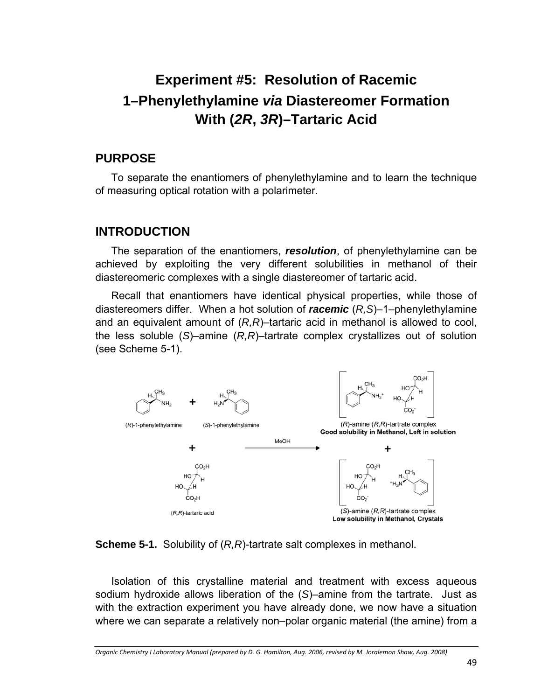# **Experiment #5: Resolution of Racemic 1–Phenylethylamine** *via* **Diastereomer Formation With (***2R***,** *3R***)–Tartaric Acid**

#### **PURPOSE**

To separate the enantiomers of phenylethylamine and to learn the technique of measuring optical rotation with a polarimeter.

### **INTRODUCTION**

The separation of the enantiomers, *resolution*, of phenylethylamine can be achieved by exploiting the very different solubilities in methanol of their diastereomeric complexes with a single diastereomer of tartaric acid.

Recall that enantiomers have identical physical properties, while those of diastereomers differ. When a hot solution of *racemic* (*R,S*)–1–phenylethylamine and an equivalent amount of (*R,R*)–tartaric acid in methanol is allowed to cool, the less soluble (*S*)–amine (*R,R*)–tartrate complex crystallizes out of solution (see Scheme 5-1).



#### **Scheme 5-1.** Solubility of (*R,R*)-tartrate salt complexes in methanol.

Isolation of this crystalline material and treatment with excess aqueous sodium hydroxide allows liberation of the (*S*)–amine from the tartrate. Just as with the extraction experiment you have already done, we now have a situation where we can separate a relatively non–polar organic material (the amine) from a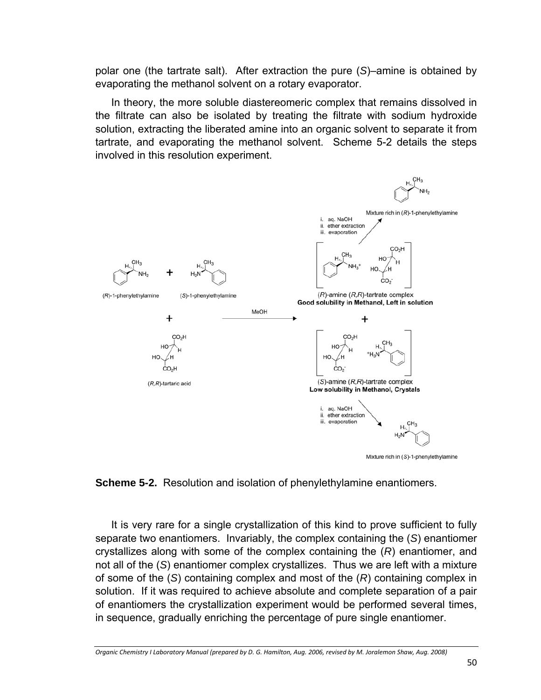polar one (the tartrate salt). After extraction the pure (*S*)–amine is obtained by evaporating the methanol solvent on a rotary evaporator.

In theory, the more soluble diastereomeric complex that remains dissolved in the filtrate can also be isolated by treating the filtrate with sodium hydroxide solution, extracting the liberated amine into an organic solvent to separate it from tartrate, and evaporating the methanol solvent. Scheme 5-2 details the steps involved in this resolution experiment.





It is very rare for a single crystallization of this kind to prove sufficient to fully separate two enantiomers. Invariably, the complex containing the (*S*) enantiomer crystallizes along with some of the complex containing the (*R*) enantiomer, and not all of the (*S*) enantiomer complex crystallizes. Thus we are left with a mixture of some of the (*S*) containing complex and most of the (*R*) containing complex in solution. If it was required to achieve absolute and complete separation of a pair of enantiomers the crystallization experiment would be performed several times, in sequence, gradually enriching the percentage of pure single enantiomer.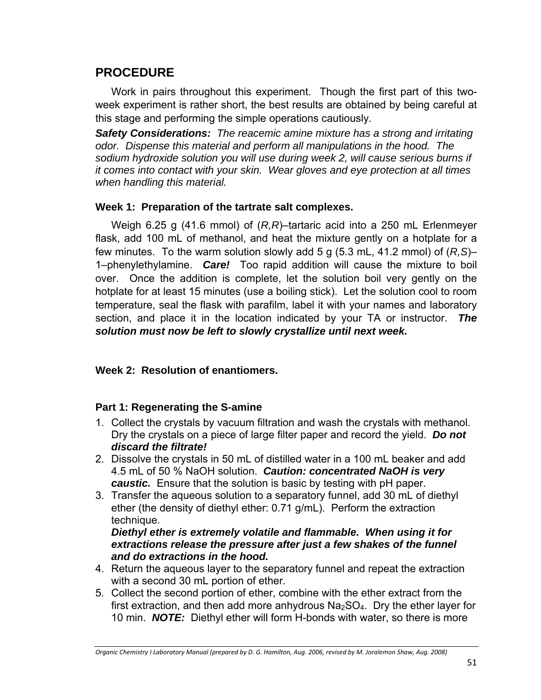## **PROCEDURE**

Work in pairs throughout this experiment. Though the first part of this twoweek experiment is rather short, the best results are obtained by being careful at this stage and performing the simple operations cautiously.

*Safety Considerations: The reacemic amine mixture has a strong and irritating odor. Dispense this material and perform all manipulations in the hood. The sodium hydroxide solution you will use during week 2, will cause serious burns if it comes into contact with your skin. Wear gloves and eye protection at all times when handling this material.* 

#### **Week 1: Preparation of the tartrate salt complexes.**

Weigh 6.25 g (41.6 mmol) of (*R,R*)–tartaric acid into a 250 mL Erlenmeyer flask, add 100 mL of methanol, and heat the mixture gently on a hotplate for a few minutes. To the warm solution slowly add 5 g (5.3 mL, 41.2 mmol) of (*R,S*)– 1–phenylethylamine. *Care!* Too rapid addition will cause the mixture to boil over. Once the addition is complete, let the solution boil very gently on the hotplate for at least 15 minutes (use a boiling stick). Let the solution cool to room temperature, seal the flask with parafilm, label it with your names and laboratory section, and place it in the location indicated by your TA or instructor. *The solution must now be left to slowly crystallize until next week.*

#### **Week 2: Resolution of enantiomers.**

#### **Part 1: Regenerating the S-amine**

- 1. Collect the crystals by vacuum filtration and wash the crystals with methanol. Dry the crystals on a piece of large filter paper and record the yield. *Do not discard the filtrate!*
- 2. Dissolve the crystals in 50 mL of distilled water in a 100 mL beaker and add 4.5 mL of 50 % NaOH solution. *Caution: concentrated NaOH is very caustic.* Ensure that the solution is basic by testing with pH paper.
- 3. Transfer the aqueous solution to a separatory funnel, add 30 mL of diethyl ether (the density of diethyl ether: 0.71 g/mL). Perform the extraction technique.

#### *Diethyl ether is extremely volatile and flammable. When using it for extractions release the pressure after just a few shakes of the funnel and do extractions in the hood.*

- 4. Return the aqueous layer to the separatory funnel and repeat the extraction with a second 30 mL portion of ether.
- 5. Collect the second portion of ether, combine with the ether extract from the first extraction, and then add more anhydrous  $Na<sub>2</sub>SO<sub>4</sub>$ . Dry the ether layer for 10 min. *NOTE:* Diethyl ether will form H-bonds with water, so there is more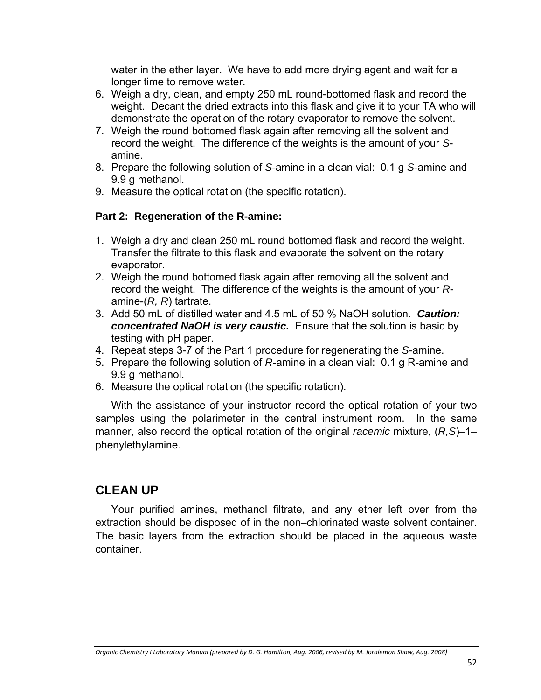water in the ether layer. We have to add more drying agent and wait for a longer time to remove water.

- 6. Weigh a dry, clean, and empty 250 mL round-bottomed flask and record the weight. Decant the dried extracts into this flask and give it to your TA who will demonstrate the operation of the rotary evaporator to remove the solvent.
- 7. Weigh the round bottomed flask again after removing all the solvent and record the weight. The difference of the weights is the amount of your *S*amine.
- 8. Prepare the following solution of *S*-amine in a clean vial: 0.1 g *S*-amine and 9.9 g methanol.
- 9. Measure the optical rotation (the specific rotation).

#### **Part 2: Regeneration of the R-amine:**

- 1. Weigh a dry and clean 250 mL round bottomed flask and record the weight. Transfer the filtrate to this flask and evaporate the solvent on the rotary evaporator.
- 2. Weigh the round bottomed flask again after removing all the solvent and record the weight. The difference of the weights is the amount of your *R*amine-(*R, R*) tartrate.
- 3. Add 50 mL of distilled water and 4.5 mL of 50 % NaOH solution. *Caution: concentrated NaOH is very caustic.* Ensure that the solution is basic by testing with pH paper.
- 4. Repeat steps 3-7 of the Part 1 procedure for regenerating the *S*-amine.
- 5. Prepare the following solution of *R*-amine in a clean vial: 0.1 g R-amine and 9.9 g methanol.
- 6. Measure the optical rotation (the specific rotation).

With the assistance of your instructor record the optical rotation of your two samples using the polarimeter in the central instrument room. In the same manner, also record the optical rotation of the original *racemic* mixture, (*R,S*)–1– phenylethylamine.

### **CLEAN UP**

Your purified amines, methanol filtrate, and any ether left over from the extraction should be disposed of in the non–chlorinated waste solvent container. The basic layers from the extraction should be placed in the aqueous waste container.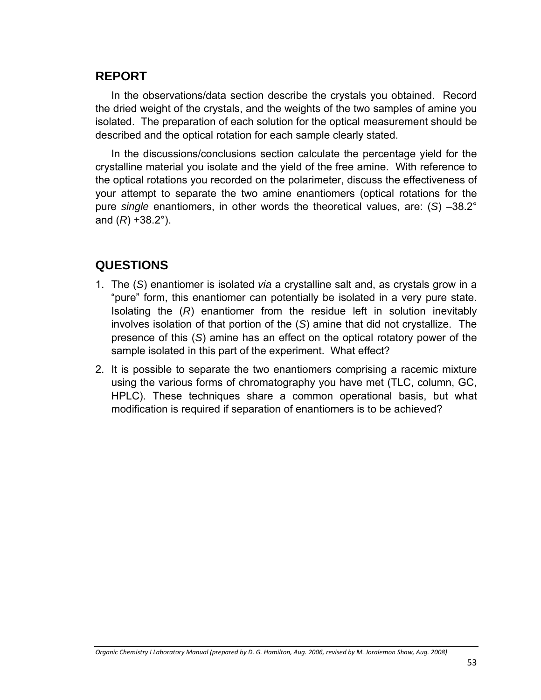## **REPORT**

In the observations/data section describe the crystals you obtained. Record the dried weight of the crystals, and the weights of the two samples of amine you isolated. The preparation of each solution for the optical measurement should be described and the optical rotation for each sample clearly stated.

In the discussions/conclusions section calculate the percentage yield for the crystalline material you isolate and the yield of the free amine. With reference to the optical rotations you recorded on the polarimeter, discuss the effectiveness of your attempt to separate the two amine enantiomers (optical rotations for the pure *single* enantiomers, in other words the theoretical values, are: (*S*) –38.2° and (*R*) +38.2°).

## **QUESTIONS**

- 1. The (*S*) enantiomer is isolated *via* a crystalline salt and, as crystals grow in a "pure" form, this enantiomer can potentially be isolated in a very pure state. Isolating the (*R*) enantiomer from the residue left in solution inevitably involves isolation of that portion of the (*S*) amine that did not crystallize. The presence of this (*S*) amine has an effect on the optical rotatory power of the sample isolated in this part of the experiment. What effect?
- 2. It is possible to separate the two enantiomers comprising a racemic mixture using the various forms of chromatography you have met (TLC, column, GC, HPLC). These techniques share a common operational basis, but what modification is required if separation of enantiomers is to be achieved?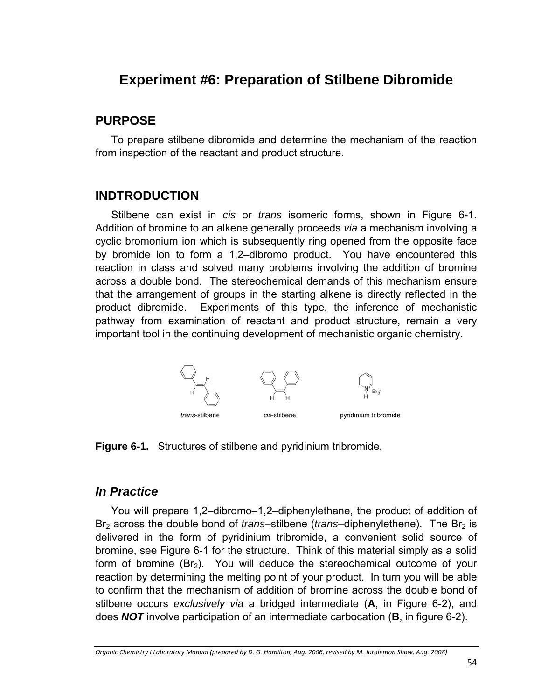# **Experiment #6: Preparation of Stilbene Dibromide**

## **PURPOSE**

To prepare stilbene dibromide and determine the mechanism of the reaction from inspection of the reactant and product structure.

## **INDTRODUCTION**

Stilbene can exist in *cis* or *trans* isomeric forms, shown in Figure 6-1. Addition of bromine to an alkene generally proceeds *via* a mechanism involving a cyclic bromonium ion which is subsequently ring opened from the opposite face by bromide ion to form a 1,2–dibromo product. You have encountered this reaction in class and solved many problems involving the addition of bromine across a double bond. The stereochemical demands of this mechanism ensure that the arrangement of groups in the starting alkene is directly reflected in the product dibromide. Experiments of this type, the inference of mechanistic pathway from examination of reactant and product structure, remain a very important tool in the continuing development of mechanistic organic chemistry.



**Figure 6-1.** Structures of stilbene and pyridinium tribromide.

## *In Practice*

You will prepare 1,2–dibromo–1,2–diphenylethane, the product of addition of Br<sub>2</sub> across the double bond of *trans*–stilbene (*trans*–diphenylethene). The Br<sub>2</sub> is delivered in the form of pyridinium tribromide, a convenient solid source of bromine, see Figure 6-1 for the structure. Think of this material simply as a solid form of bromine  $(Br<sub>2</sub>)$ . You will deduce the stereochemical outcome of your reaction by determining the melting point of your product. In turn you will be able to confirm that the mechanism of addition of bromine across the double bond of stilbene occurs *exclusively via* a bridged intermediate (**A**, in Figure 6-2), and does *NOT* involve participation of an intermediate carbocation (**B**, in figure 6-2).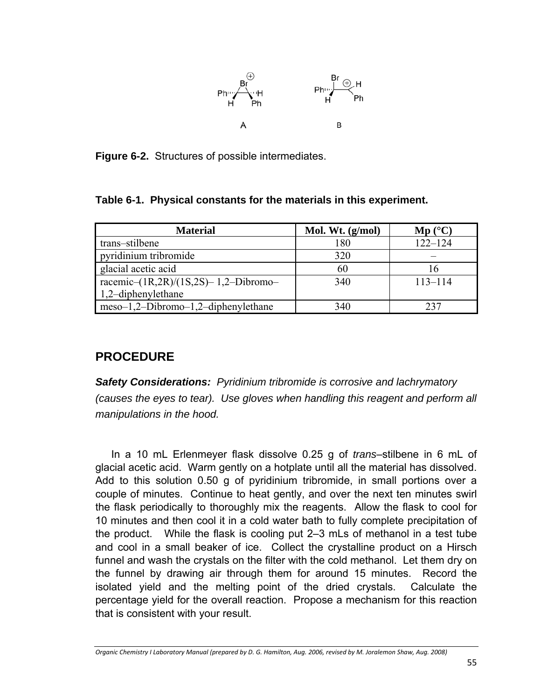

**Figure 6-2.** Structures of possible intermediates.

| Table 6-1. Physical constants for the materials in this experiment. |  |  |  |  |
|---------------------------------------------------------------------|--|--|--|--|
|---------------------------------------------------------------------|--|--|--|--|

| <b>Material</b>                            | Mol. Wt. $(g/mol)$ | $\mathbf{M}\mathbf{p}$ (°C) |
|--------------------------------------------|--------------------|-----------------------------|
| trans-stilbene                             | 180                | $122 - 124$                 |
| pyridinium tribromide                      | 320                |                             |
| glacial acetic acid                        | 60                 | 16                          |
| racemic- $(1R, 2R)/(1S, 2S)$ -1,2-Dibromo- | 340                | $113 - 114$                 |
| $1,2$ -diphenylethane                      |                    |                             |
| $meso-1,2-Dibromo-1,2-diphenylethane$      | 340                | 237                         |

# **PROCEDURE**

*Safety Considerations: Pyridinium tribromide is corrosive and lachrymatory (causes the eyes to tear). Use gloves when handling this reagent and perform all manipulations in the hood.*

In a 10 mL Erlenmeyer flask dissolve 0.25 g of *trans*–stilbene in 6 mL of glacial acetic acid. Warm gently on a hotplate until all the material has dissolved. Add to this solution 0.50 g of pyridinium tribromide, in small portions over a couple of minutes. Continue to heat gently, and over the next ten minutes swirl the flask periodically to thoroughly mix the reagents. Allow the flask to cool for 10 minutes and then cool it in a cold water bath to fully complete precipitation of the product. While the flask is cooling put 2–3 mLs of methanol in a test tube and cool in a small beaker of ice. Collect the crystalline product on a Hirsch funnel and wash the crystals on the filter with the cold methanol. Let them dry on the funnel by drawing air through them for around 15 minutes. Record the isolated yield and the melting point of the dried crystals. Calculate the percentage yield for the overall reaction. Propose a mechanism for this reaction that is consistent with your result.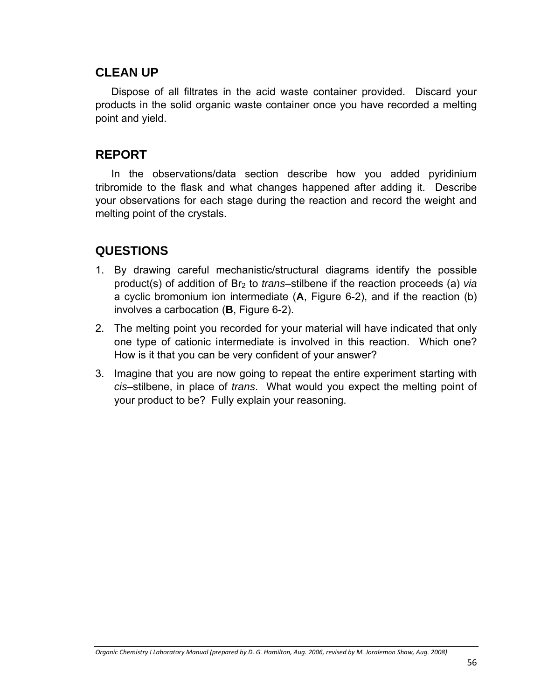### **CLEAN UP**

Dispose of all filtrates in the acid waste container provided. Discard your products in the solid organic waste container once you have recorded a melting point and yield.

### **REPORT**

In the observations/data section describe how you added pyridinium tribromide to the flask and what changes happened after adding it. Describe your observations for each stage during the reaction and record the weight and melting point of the crystals.

## **QUESTIONS**

- 1. By drawing careful mechanistic/structural diagrams identify the possible product(s) of addition of Br2 to *trans*–stilbene if the reaction proceeds (a) *via* a cyclic bromonium ion intermediate (**A**, Figure 6-2), and if the reaction (b) involves a carbocation (**B**, Figure 6-2).
- 2. The melting point you recorded for your material will have indicated that only one type of cationic intermediate is involved in this reaction. Which one? How is it that you can be very confident of your answer?
- 3. Imagine that you are now going to repeat the entire experiment starting with *cis–*stilbene, in place of *trans*. What would you expect the melting point of your product to be? Fully explain your reasoning.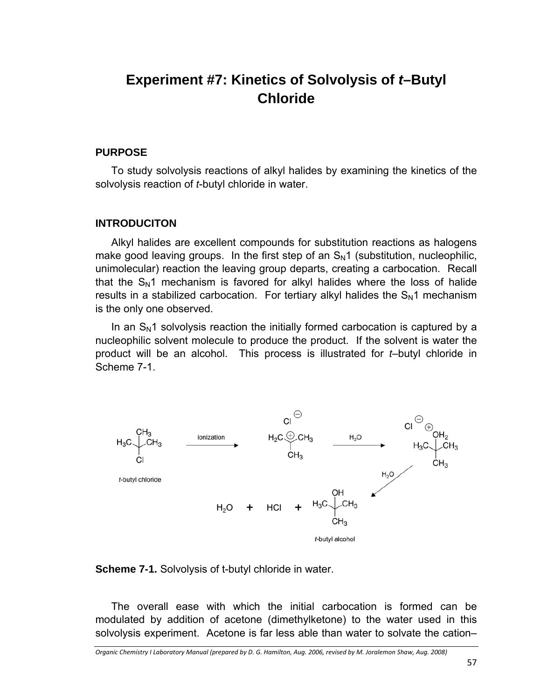# **Experiment #7: Kinetics of Solvolysis of** *t***–Butyl Chloride**

#### **PURPOSE**

To study solvolysis reactions of alkyl halides by examining the kinetics of the solvolysis reaction of *t*-butyl chloride in water.

#### **INTRODUCITON**

Alkyl halides are excellent compounds for substitution reactions as halogens make good leaving groups. In the first step of an  $S_N1$  (substitution, nucleophilic, unimolecular) reaction the leaving group departs, creating a carbocation. Recall that the  $S_N1$  mechanism is favored for alkyl halides where the loss of halide results in a stabilized carbocation. For tertiary alkyl halides the  $S_N1$  mechanism is the only one observed.

In an  $S<sub>N</sub>1$  solvolysis reaction the initially formed carbocation is captured by a nucleophilic solvent molecule to produce the product. If the solvent is water the product will be an alcohol. This process is illustrated for *t*–butyl chloride in Scheme 7-1.





The overall ease with which the initial carbocation is formed can be modulated by addition of acetone (dimethylketone) to the water used in this solvolysis experiment. Acetone is far less able than water to solvate the cation–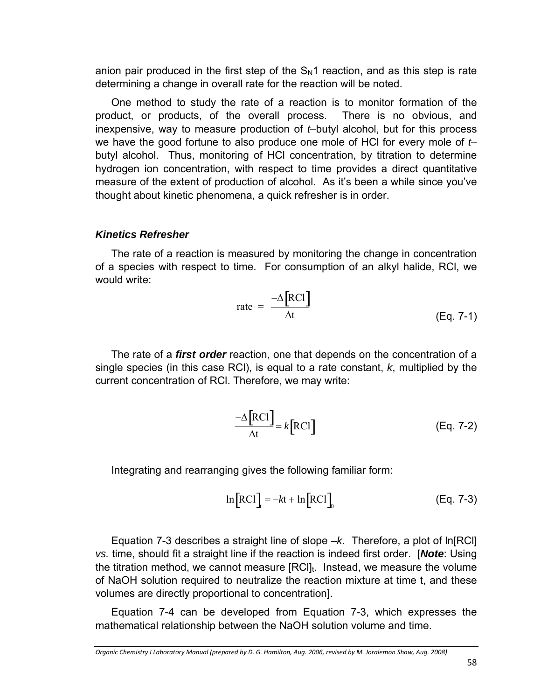anion pair produced in the first step of the  $S_N1$  reaction, and as this step is rate determining a change in overall rate for the reaction will be noted.

One method to study the rate of a reaction is to monitor formation of the product, or products, of the overall process. There is no obvious, and inexpensive, way to measure production of *t*–butyl alcohol, but for this process we have the good fortune to also produce one mole of HCl for every mole of *t*– butyl alcohol. Thus, monitoring of HCl concentration, by titration to determine hydrogen ion concentration, with respect to time provides a direct quantitative measure of the extent of production of alcohol. As it's been a while since you've thought about kinetic phenomena, a quick refresher is in order.

#### *Kinetics Refresher*

The rate of a reaction is measured by monitoring the change in concentration of a species with respect to time. For consumption of an alkyl halide, RCl, we would write:

$$
rate = \frac{-\Delta \text{[RC1]}}{\Delta t}
$$
 (Eq. 7-1)

The rate of a *first order* reaction, one that depends on the concentration of a single species (in this case RCl), is equal to a rate constant, *k*, multiplied by the current concentration of RCl. Therefore, we may write:

$$
\frac{-\Delta \text{[RC1]}}{\Delta t} = k \text{[RC1]}
$$
 (Eq. 7-2)

Integrating and rearranging gives the following familiar form:

$$
\ln [RC1] = -kt + \ln [RC1] \qquad (Eq. 7-3)
$$

Equation 7-3 describes a straight line of slope –*k*. Therefore, a plot of ln[RCl] *vs.* time, should fit a straight line if the reaction is indeed first order. [*Note*: Using the titration method, we cannot measure  $[RCI]_t$ . Instead, we measure the volume of NaOH solution required to neutralize the reaction mixture at time t, and these volumes are directly proportional to concentration].

Equation 7-4 can be developed from Equation 7-3, which expresses the mathematical relationship between the NaOH solution volume and time.

Organic Chemistry I Laboratory Manual (prepared by D. G. Hamilton, Aug. 2006, revised by M. Joralemon Shaw, Aug. 2008)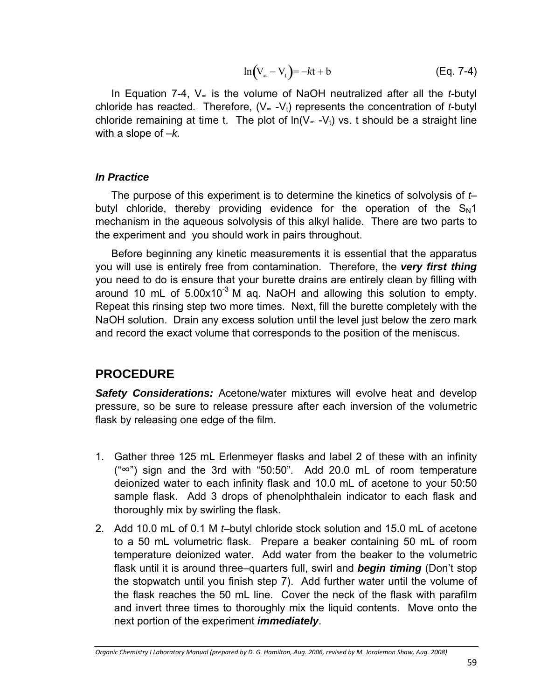$$
\ln(V_{\infty} - V_{t}) = -kt + b
$$
 (Eq. 7-4)

In Equation 7-4, V∞ is the volume of NaOH neutralized after all the *t*-butyl chloride has reacted. Therefore,  $(V_{\infty} - V_t)$  represents the concentration of *t*-butyl chloride remaining at time t. The plot of  $ln(V_·V_t)$  vs. t should be a straight line with a slope of –*k.*

#### *In Practice*

The purpose of this experiment is to determine the kinetics of solvolysis of *t*– butyl chloride, thereby providing evidence for the operation of the  $S_N1$ mechanism in the aqueous solvolysis of this alkyl halide. There are two parts to the experiment and you should work in pairs throughout.

Before beginning any kinetic measurements it is essential that the apparatus you will use is entirely free from contamination. Therefore, the *very first thing* you need to do is ensure that your burette drains are entirely clean by filling with around 10 mL of  $5.00x10^{-3}$  M ag. NaOH and allowing this solution to empty. Repeat this rinsing step two more times. Next, fill the burette completely with the NaOH solution. Drain any excess solution until the level just below the zero mark and record the exact volume that corresponds to the position of the meniscus.

### **PROCEDURE**

**Safety Considerations:** Acetone/water mixtures will evolve heat and develop pressure, so be sure to release pressure after each inversion of the volumetric flask by releasing one edge of the film.

- 1. Gather three 125 mL Erlenmeyer flasks and label 2 of these with an infinity ("∞") sign and the 3rd with "50:50". Add 20.0 mL of room temperature deionized water to each infinity flask and 10.0 mL of acetone to your 50:50 sample flask. Add 3 drops of phenolphthalein indicator to each flask and thoroughly mix by swirling the flask.
- 2. Add 10.0 mL of 0.1 M *t*–butyl chloride stock solution and 15.0 mL of acetone to a 50 mL volumetric flask. Prepare a beaker containing 50 mL of room temperature deionized water. Add water from the beaker to the volumetric flask until it is around three–quarters full, swirl and *begin timing* (Don't stop the stopwatch until you finish step 7). Add further water until the volume of the flask reaches the 50 mL line. Cover the neck of the flask with parafilm and invert three times to thoroughly mix the liquid contents. Move onto the next portion of the experiment *immediately*.

Organic Chemistry I Laboratory Manual (prepared by D. G. Hamilton, Aug. 2006, revised by M. Joralemon Shaw, Aug. 2008)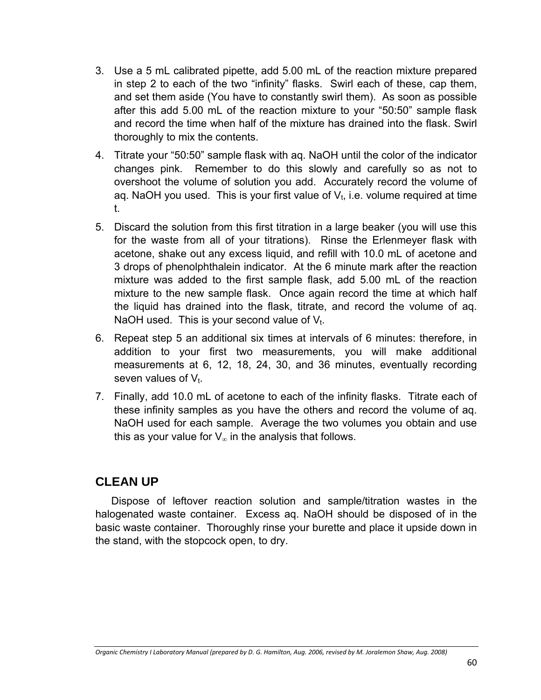- 3. Use a 5 mL calibrated pipette, add 5.00 mL of the reaction mixture prepared in step 2 to each of the two "infinity" flasks. Swirl each of these, cap them, and set them aside (You have to constantly swirl them). As soon as possible after this add 5.00 mL of the reaction mixture to your "50:50" sample flask and record the time when half of the mixture has drained into the flask. Swirl thoroughly to mix the contents.
- 4. Titrate your "50:50" sample flask with aq. NaOH until the color of the indicator changes pink. Remember to do this slowly and carefully so as not to overshoot the volume of solution you add. Accurately record the volume of ag. NaOH you used. This is your first value of  $V_t$ , i.e. volume required at time t.
- 5. Discard the solution from this first titration in a large beaker (you will use this for the waste from all of your titrations). Rinse the Erlenmeyer flask with acetone, shake out any excess liquid, and refill with 10.0 mL of acetone and 3 drops of phenolphthalein indicator. At the 6 minute mark after the reaction mixture was added to the first sample flask, add 5.00 mL of the reaction mixture to the new sample flask. Once again record the time at which half the liquid has drained into the flask, titrate, and record the volume of aq. NaOH used. This is your second value of  $V_t$ .
- 6. Repeat step 5 an additional six times at intervals of 6 minutes: therefore, in addition to your first two measurements, you will make additional measurements at 6, 12, 18, 24, 30, and 36 minutes, eventually recording seven values of  $V_t$ .
- 7. Finally, add 10.0 mL of acetone to each of the infinity flasks. Titrate each of these infinity samples as you have the others and record the volume of aq. NaOH used for each sample. Average the two volumes you obtain and use this as your value for  $V_{\infty}$  in the analysis that follows.

### **CLEAN UP**

Dispose of leftover reaction solution and sample/titration wastes in the halogenated waste container. Excess aq. NaOH should be disposed of in the basic waste container. Thoroughly rinse your burette and place it upside down in the stand, with the stopcock open, to dry.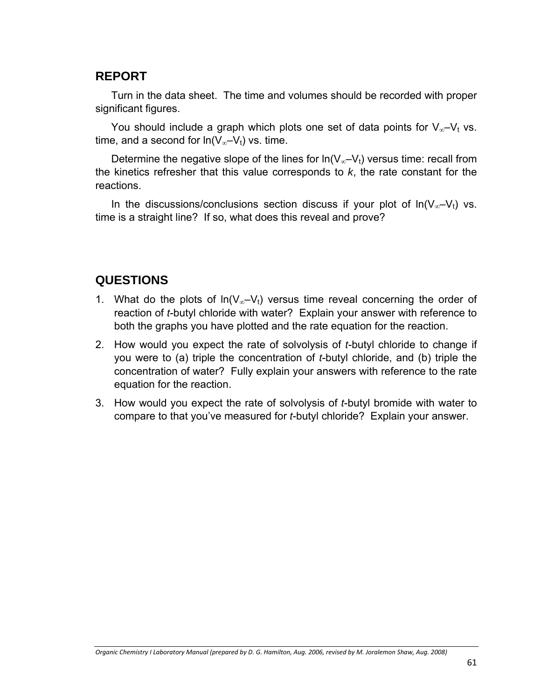## **REPORT**

Turn in the data sheet. The time and volumes should be recorded with proper significant figures.

You should include a graph which plots one set of data points for  $V_{\infty}-V_t$  vs. time, and a second for  $ln(V_{\infty}-V_t)$  vs. time.

Determine the negative slope of the lines for  $ln(V_{\infty}-V_t)$  versus time: recall from the kinetics refresher that this value corresponds to *k*, the rate constant for the reactions.

In the discussions/conclusions section discuss if your plot of  $ln(V_{\infty}-V_t)$  vs. time is a straight line? If so, what does this reveal and prove?

## **QUESTIONS**

- 1. What do the plots of  $ln(V_{\infty}-V_t)$  versus time reveal concerning the order of reaction of *t*-butyl chloride with water? Explain your answer with reference to both the graphs you have plotted and the rate equation for the reaction.
- 2. How would you expect the rate of solvolysis of *t*-butyl chloride to change if you were to (a) triple the concentration of *t*-butyl chloride, and (b) triple the concentration of water? Fully explain your answers with reference to the rate equation for the reaction.
- 3. How would you expect the rate of solvolysis of *t*-butyl bromide with water to compare to that you've measured for *t*-butyl chloride? Explain your answer.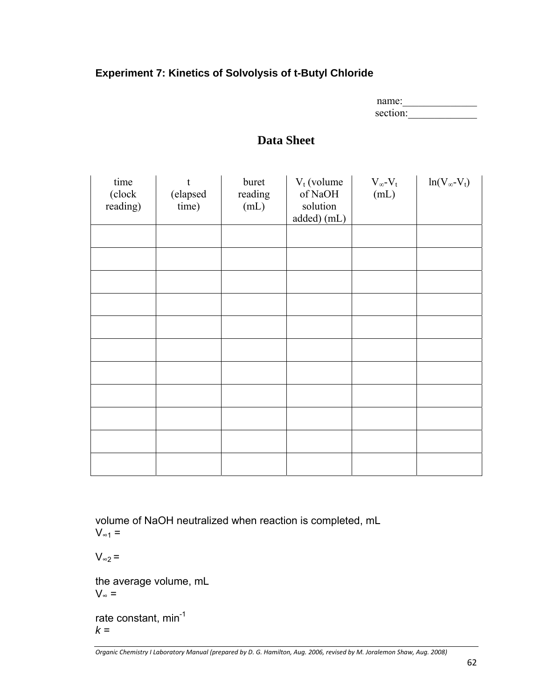#### **Experiment 7: Kinetics of Solvolysis of t-Butyl Chloride**

| name:    |
|----------|
| section: |

# **Data Sheet**

| time<br>(clock<br>reading) | t<br>(elapsed<br>time) | buret<br>reading<br>(mL) | $V_t$ (volume<br>of NaOH<br>solution<br>added) (mL) | $V_{\infty}$ - $V_{t}$<br>(mL) | $ln(V_{\infty}-V_t)$ |
|----------------------------|------------------------|--------------------------|-----------------------------------------------------|--------------------------------|----------------------|
|                            |                        |                          |                                                     |                                |                      |
|                            |                        |                          |                                                     |                                |                      |
|                            |                        |                          |                                                     |                                |                      |
|                            |                        |                          |                                                     |                                |                      |
|                            |                        |                          |                                                     |                                |                      |
|                            |                        |                          |                                                     |                                |                      |
|                            |                        |                          |                                                     |                                |                      |
|                            |                        |                          |                                                     |                                |                      |
|                            |                        |                          |                                                     |                                |                      |
|                            |                        |                          |                                                     |                                |                      |
|                            |                        |                          |                                                     |                                |                      |

volume of NaOH neutralized when reaction is completed, mL  $V_{\infty 1}$  =

 $V_{\infty 2}$  =

the average volume, mL  $V_{\infty}$  =

rate constant, min<sup>-1</sup>  $k =$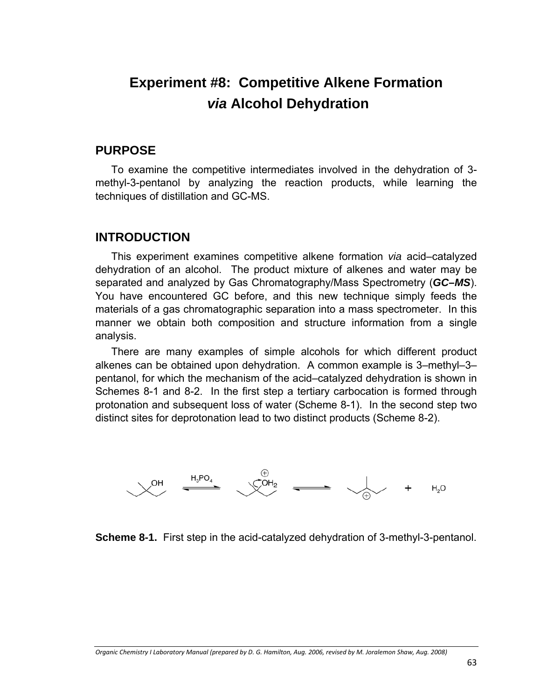# **Experiment #8: Competitive Alkene Formation**  *via* **Alcohol Dehydration**

#### **PURPOSE**

To examine the competitive intermediates involved in the dehydration of 3 methyl-3-pentanol by analyzing the reaction products, while learning the techniques of distillation and GC-MS.

#### **INTRODUCTION**

This experiment examines competitive alkene formation *via* acid–catalyzed dehydration of an alcohol. The product mixture of alkenes and water may be separated and analyzed by Gas Chromatography/Mass Spectrometry (*GC–MS*). You have encountered GC before, and this new technique simply feeds the materials of a gas chromatographic separation into a mass spectrometer. In this manner we obtain both composition and structure information from a single analysis.

There are many examples of simple alcohols for which different product alkenes can be obtained upon dehydration. A common example is 3–methyl–3– pentanol, for which the mechanism of the acid–catalyzed dehydration is shown in Schemes 8-1 and 8-2. In the first step a tertiary carbocation is formed through protonation and subsequent loss of water (Scheme 8-1). In the second step two distinct sites for deprotonation lead to two distinct products (Scheme 8-2).



**Scheme 8-1.** First step in the acid-catalyzed dehydration of 3-methyl-3-pentanol.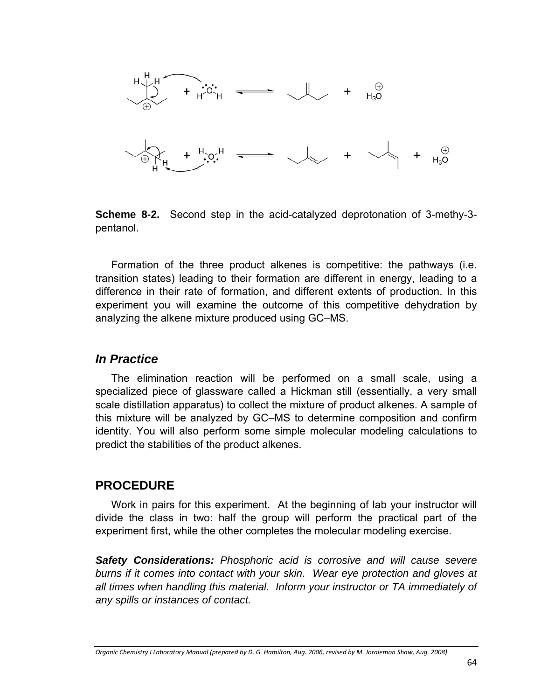

**Scheme 8-2.** Second step in the acid-catalyzed deprotonation of 3-methy-3 pentanol.

Formation of the three product alkenes is competitive: the pathways (i.e. transition states) leading to their formation are different in energy, leading to a difference in their rate of formation, and different extents of production. In this experiment you will examine the outcome of this competitive dehydration by analyzing the alkene mixture produced using GC–MS.

#### *In Practice*

The elimination reaction will be performed on a small scale, using a specialized piece of glassware called a Hickman still (essentially, a very small scale distillation apparatus) to collect the mixture of product alkenes. A sample of this mixture will be analyzed by GC–MS to determine composition and confirm identity. You will also perform some simple molecular modeling calculations to predict the stabilities of the product alkenes.

### **PROCEDURE**

Work in pairs for this experiment. At the beginning of lab your instructor will divide the class in two: half the group will perform the practical part of the experiment first, while the other completes the molecular modeling exercise.

*Safety Considerations: Phosphoric acid is corrosive and will cause severe burns if it comes into contact with your skin. Wear eye protection and gloves at all times when handling this material. Inform your instructor or TA immediately of any spills or instances of contact.*

Organic Chemistry I Laboratory Manual (prepared by D. G. Hamilton, Aug. 2006, revised by M. Joralemon Shaw, Aug. 2008)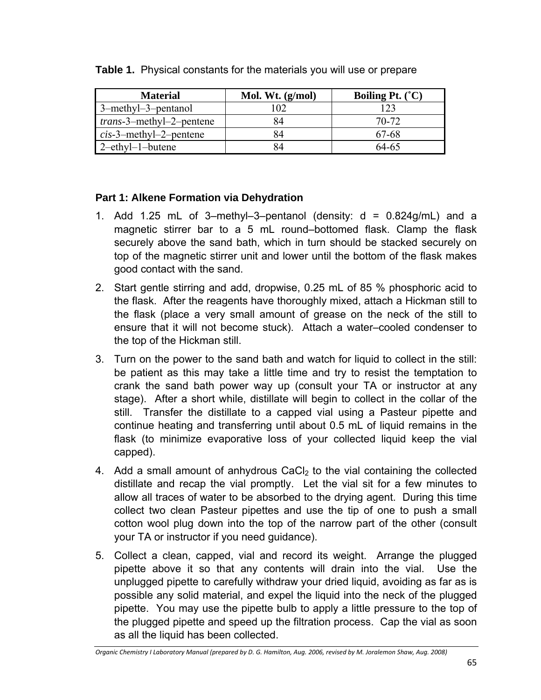| <b>Material</b>                  | Mol. Wt. $(g/mol)$ | Boiling Pt. $(C)$ |
|----------------------------------|--------------------|-------------------|
| 3-methyl-3-pentanol              | 102                | 123               |
| <i>trans</i> -3-methyl-2-pentene | 84                 | 70-72             |
| $cis$ -3-methyl-2-pentene        | 84                 | 67-68             |
| $2$ -ethyl-1-butene              |                    | 64-65             |

**Table 1.** Physical constants for the materials you will use or prepare

#### **Part 1: Alkene Formation via Dehydration**

- 1. Add 1.25 mL of 3-methyl-3-pentanol (density:  $d = 0.824q/mL$ ) and a magnetic stirrer bar to a 5 mL round–bottomed flask. Clamp the flask securely above the sand bath, which in turn should be stacked securely on top of the magnetic stirrer unit and lower until the bottom of the flask makes good contact with the sand.
- 2. Start gentle stirring and add, dropwise, 0.25 mL of 85 % phosphoric acid to the flask. After the reagents have thoroughly mixed, attach a Hickman still to the flask (place a very small amount of grease on the neck of the still to ensure that it will not become stuck). Attach a water–cooled condenser to the top of the Hickman still.
- 3. Turn on the power to the sand bath and watch for liquid to collect in the still: be patient as this may take a little time and try to resist the temptation to crank the sand bath power way up (consult your TA or instructor at any stage). After a short while, distillate will begin to collect in the collar of the still. Transfer the distillate to a capped vial using a Pasteur pipette and continue heating and transferring until about 0.5 mL of liquid remains in the flask (to minimize evaporative loss of your collected liquid keep the vial capped).
- 4. Add a small amount of anhydrous  $CaCl<sub>2</sub>$  to the vial containing the collected distillate and recap the vial promptly. Let the vial sit for a few minutes to allow all traces of water to be absorbed to the drying agent. During this time collect two clean Pasteur pipettes and use the tip of one to push a small cotton wool plug down into the top of the narrow part of the other (consult your TA or instructor if you need guidance).
- 5. Collect a clean, capped, vial and record its weight. Arrange the plugged pipette above it so that any contents will drain into the vial. Use the unplugged pipette to carefully withdraw your dried liquid, avoiding as far as is possible any solid material, and expel the liquid into the neck of the plugged pipette. You may use the pipette bulb to apply a little pressure to the top of the plugged pipette and speed up the filtration process. Cap the vial as soon as all the liquid has been collected.

Organic Chemistry I Laboratory Manual (prepared by D. G. Hamilton, Aug. 2006, revised by M. Joralemon Shaw, Aug. 2008)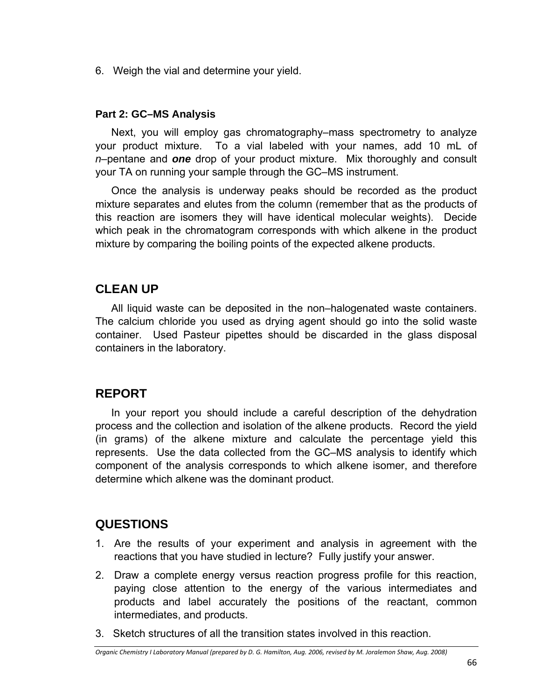6. Weigh the vial and determine your yield.

#### **Part 2: GC–MS Analysis**

Next, you will employ gas chromatography–mass spectrometry to analyze your product mixture. To a vial labeled with your names, add 10 mL of *n*–pentane and *one* drop of your product mixture. Mix thoroughly and consult your TA on running your sample through the GC–MS instrument.

Once the analysis is underway peaks should be recorded as the product mixture separates and elutes from the column (remember that as the products of this reaction are isomers they will have identical molecular weights). Decide which peak in the chromatogram corresponds with which alkene in the product mixture by comparing the boiling points of the expected alkene products.

## **CLEAN UP**

All liquid waste can be deposited in the non–halogenated waste containers. The calcium chloride you used as drying agent should go into the solid waste container. Used Pasteur pipettes should be discarded in the glass disposal containers in the laboratory.

## **REPORT**

In your report you should include a careful description of the dehydration process and the collection and isolation of the alkene products. Record the yield (in grams) of the alkene mixture and calculate the percentage yield this represents. Use the data collected from the GC–MS analysis to identify which component of the analysis corresponds to which alkene isomer, and therefore determine which alkene was the dominant product.

## **QUESTIONS**

- 1. Are the results of your experiment and analysis in agreement with the reactions that you have studied in lecture? Fully justify your answer.
- 2. Draw a complete energy versus reaction progress profile for this reaction, paying close attention to the energy of the various intermediates and products and label accurately the positions of the reactant, common intermediates, and products.
- 3. Sketch structures of all the transition states involved in this reaction.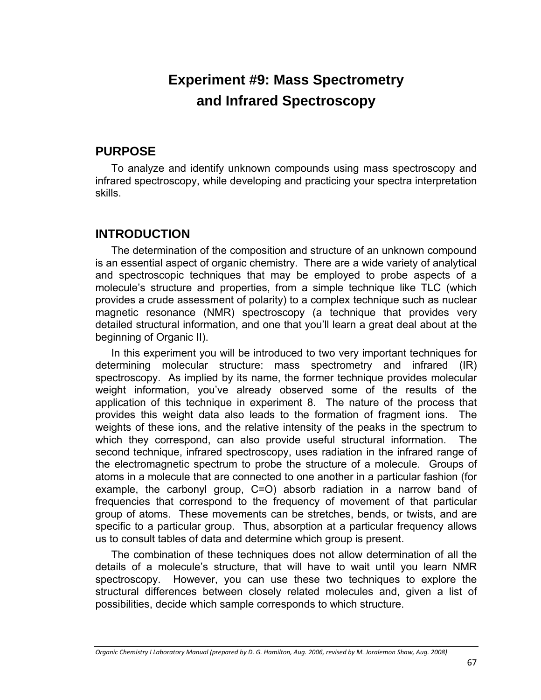# **Experiment #9: Mass Spectrometry and Infrared Spectroscopy**

### **PURPOSE**

To analyze and identify unknown compounds using mass spectroscopy and infrared spectroscopy, while developing and practicing your spectra interpretation skills.

## **INTRODUCTION**

The determination of the composition and structure of an unknown compound is an essential aspect of organic chemistry. There are a wide variety of analytical and spectroscopic techniques that may be employed to probe aspects of a molecule's structure and properties, from a simple technique like TLC (which provides a crude assessment of polarity) to a complex technique such as nuclear magnetic resonance (NMR) spectroscopy (a technique that provides very detailed structural information, and one that you'll learn a great deal about at the beginning of Organic II).

In this experiment you will be introduced to two very important techniques for determining molecular structure: mass spectrometry and infrared (IR) spectroscopy. As implied by its name, the former technique provides molecular weight information, you've already observed some of the results of the application of this technique in experiment 8. The nature of the process that provides this weight data also leads to the formation of fragment ions. The weights of these ions, and the relative intensity of the peaks in the spectrum to which they correspond, can also provide useful structural information. The second technique, infrared spectroscopy, uses radiation in the infrared range of the electromagnetic spectrum to probe the structure of a molecule. Groups of atoms in a molecule that are connected to one another in a particular fashion (for example, the carbonyl group, C=O) absorb radiation in a narrow band of frequencies that correspond to the frequency of movement of that particular group of atoms. These movements can be stretches, bends, or twists, and are specific to a particular group. Thus, absorption at a particular frequency allows us to consult tables of data and determine which group is present.

The combination of these techniques does not allow determination of all the details of a molecule's structure, that will have to wait until you learn NMR spectroscopy. However, you can use these two techniques to explore the structural differences between closely related molecules and, given a list of possibilities, decide which sample corresponds to which structure.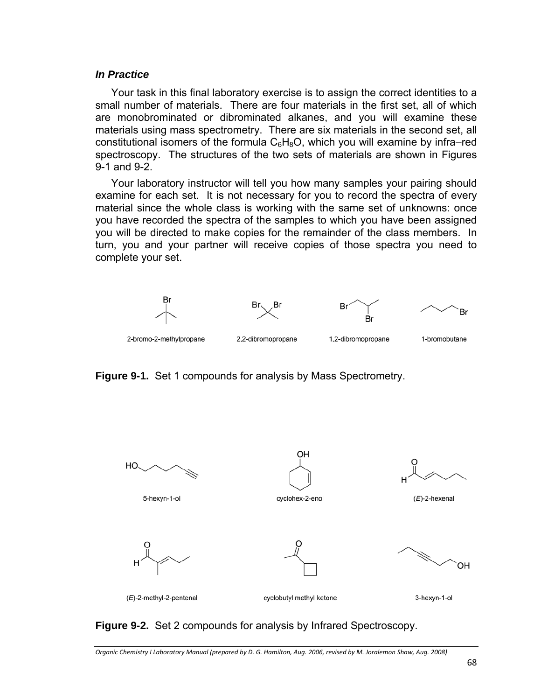#### *In Practice*

Your task in this final laboratory exercise is to assign the correct identities to a small number of materials. There are four materials in the first set, all of which are monobrominated or dibrominated alkanes, and you will examine these materials using mass spectrometry. There are six materials in the second set, all constitutional isomers of the formula  $C_6H_8O$ , which you will examine by infra–red spectroscopy. The structures of the two sets of materials are shown in Figures 9-1 and 9-2.

Your laboratory instructor will tell you how many samples your pairing should examine for each set. It is not necessary for you to record the spectra of every material since the whole class is working with the same set of unknowns: once you have recorded the spectra of the samples to which you have been assigned you will be directed to make copies for the remainder of the class members. In turn, you and your partner will receive copies of those spectra you need to complete your set.



**Figure 9-1.** Set 1 compounds for analysis by Mass Spectrometry.



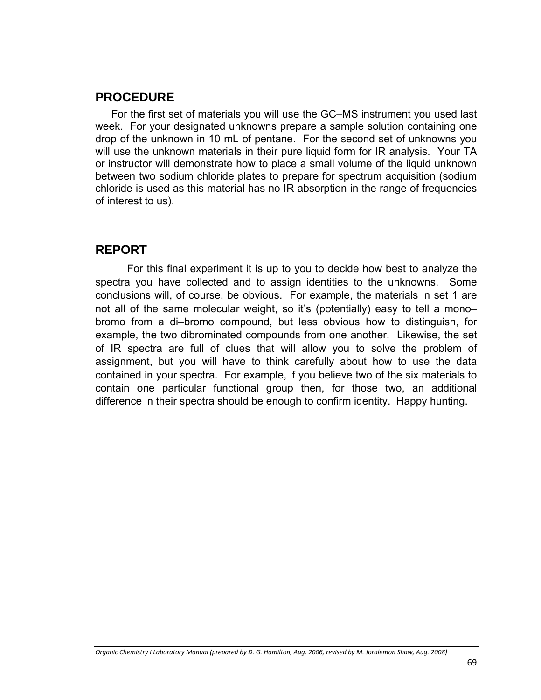## **PROCEDURE**

For the first set of materials you will use the GC–MS instrument you used last week. For your designated unknowns prepare a sample solution containing one drop of the unknown in 10 mL of pentane. For the second set of unknowns you will use the unknown materials in their pure liquid form for IR analysis. Your TA or instructor will demonstrate how to place a small volume of the liquid unknown between two sodium chloride plates to prepare for spectrum acquisition (sodium chloride is used as this material has no IR absorption in the range of frequencies of interest to us).

### **REPORT**

For this final experiment it is up to you to decide how best to analyze the spectra you have collected and to assign identities to the unknowns. Some conclusions will, of course, be obvious. For example, the materials in set 1 are not all of the same molecular weight, so it's (potentially) easy to tell a mono– bromo from a di–bromo compound, but less obvious how to distinguish, for example, the two dibrominated compounds from one another. Likewise, the set of IR spectra are full of clues that will allow you to solve the problem of assignment, but you will have to think carefully about how to use the data contained in your spectra. For example, if you believe two of the six materials to contain one particular functional group then, for those two, an additional difference in their spectra should be enough to confirm identity. Happy hunting.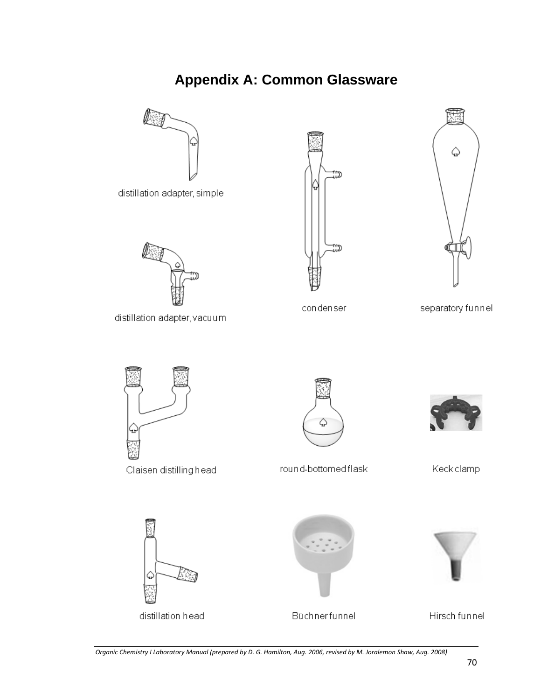# **Appendix A: Common Glassware**



Organic Chemistry I Laboratory Manual (prepared by D. G. Hamilton, Aug. 2006, revised by M. Joralemon Shaw, Aug. 2008)